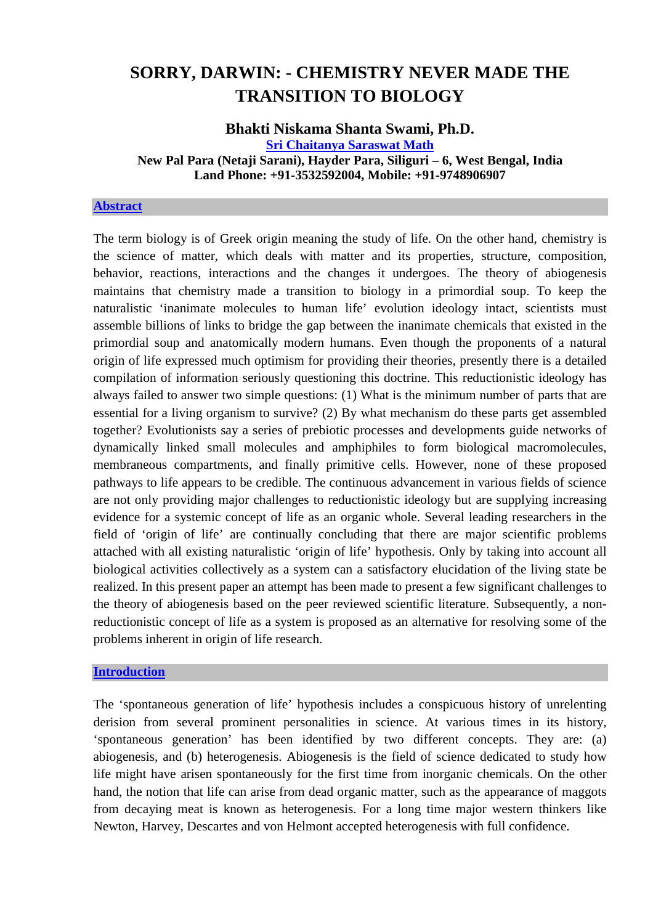# **SORRY, DARWIN: - CHEMISTRY NEVER MADE THE TRANSITION TO BIOLOGY**

## **Bhakti Niskama Shanta Swami, Ph.D. [Sri Chaitanya Saraswat Math](http://mahaprabhu.net/scsmath.siliguri) New Pal Para (Netaji Sarani), Hayder Para, Siliguri – 6, West Bengal, India Land Phone: +91-3532592004, Mobile: +91-9748906907**

#### **[Abstract](http://scienceandscientist.org/biology/)**

The term biology is of Greek origin meaning the study of life. On the other hand, chemistry is the science of matter, which deals with matter and its properties, structure, composition, behavior, reactions, interactions and the changes it undergoes. The theory of abiogenesis maintains that chemistry made a transition to biology in a primordial soup. To keep the naturalistic 'inanimate molecules to human life' evolution ideology intact, scientists must assemble billions of links to bridge the gap between the inanimate chemicals that existed in the primordial soup and anatomically modern humans. Even though the proponents of a natural origin of life expressed much optimism for providing their theories, presently there is a detailed compilation of information seriously questioning this doctrine. This reductionistic ideology has always failed to answer two simple questions: (1) What is the minimum number of parts that are essential for a living organism to survive? (2) By what mechanism do these parts get assembled together? Evolutionists say a series of prebiotic processes and developments guide networks of dynamically linked small molecules and amphiphiles to form biological macromolecules, membraneous compartments, and finally primitive cells. However, none of these proposed pathways to life appears to be credible. The continuous advancement in various fields of science are not only providing major challenges to reductionistic ideology but are supplying increasing evidence for a systemic concept of life as an organic whole. Several leading researchers in the field of 'origin of life' are continually concluding that there are major scientific problems attached with all existing naturalistic 'origin of life' hypothesis. Only by taking into account all biological activities collectively as a system can a satisfactory elucidation of the living state be realized. In this present paper an attempt has been made to present a few significant challenges to the theory of abiogenesis based on the peer reviewed scientific literature. Subsequently, a nonreductionistic concept of life as a system is proposed as an alternative for resolving some of the problems inherent in origin of life research.

#### **[Introduction](http://scienceandscientist.org/biology/)**

The 'spontaneous generation of life' hypothesis includes a conspicuous history of unrelenting derision from several prominent personalities in science. At various times in its history, 'spontaneous generation' has been identified by two different concepts. They are: (a) abiogenesis, and (b) heterogenesis. Abiogenesis is the field of science dedicated to study how life might have arisen spontaneously for the first time from inorganic chemicals. On the other hand, the notion that life can arise from dead organic matter, such as the appearance of maggots from decaying meat is known as heterogenesis. For a long time major western thinkers like Newton, Harvey, Descartes and von Helmont accepted heterogenesis with full confidence.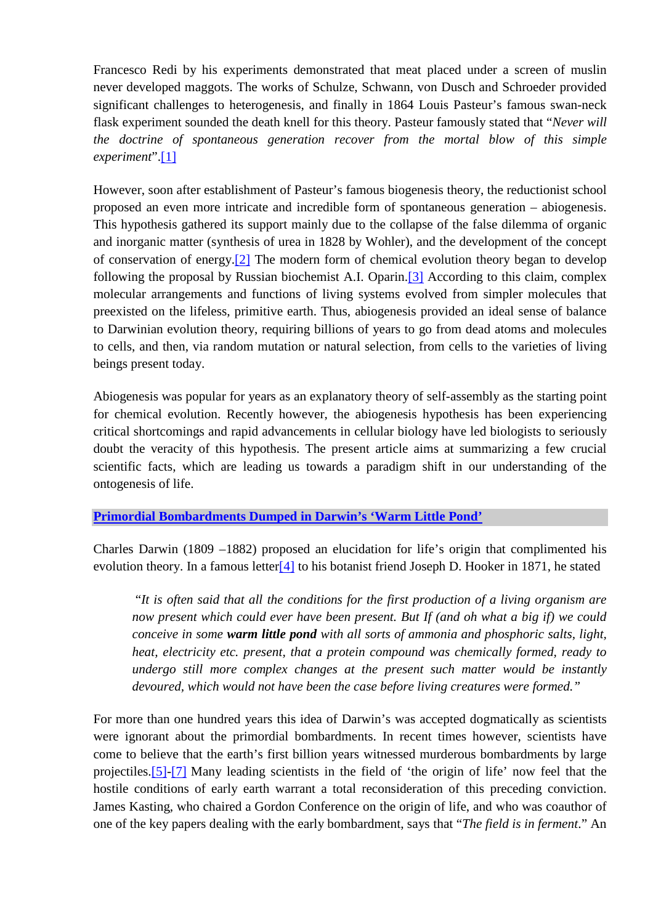Francesco Redi by his experiments demonstrated that meat placed under a screen of muslin never developed maggots. The works of Schulze, Schwann, von Dusch and Schroeder provided significant challenges to heterogenesis, and finally in 1864 Louis Pasteur's famous swan-neck flask experiment sounded the death knell for this theory. Pasteur famously stated that "*Never will the doctrine of spontaneous generation recover from the mortal blow of this simple experiment*".[\[1\]](http://scienceandscientist.org/biology/) 

However, soon after establishment of Pasteur's famous biogenesis theory, the reductionist school proposed an even more intricate and incredible form of spontaneous generation – abiogenesis. This hypothesis gathered its support mainly due to the collapse of the false dilemma of organic and inorganic matter (synthesis of urea in 1828 by Wohler), and the development of the concept of conservation of energy.[\[2\]](http://scienceandscientist.org/biology/) The modern form of chemical evolution theory began to develop following the proposal by Russian biochemist A.I. Oparin.[\[3\]](http://scienceandscientist.org/biology/) According to this claim, complex molecular arrangements and functions of living systems evolved from simpler molecules that preexisted on the lifeless, primitive earth. Thus, abiogenesis provided an ideal sense of balance to Darwinian evolution theory, requiring billions of years to go from dead atoms and molecules to cells, and then, via random mutation or natural selection, from cells to the varieties of living beings present today.

Abiogenesis was popular for years as an explanatory theory of self-assembly as the starting point for chemical evolution. Recently however, the abiogenesis hypothesis has been experiencing critical shortcomings and rapid advancements in cellular biology have led biologists to seriously doubt the veracity of this hypothesis. The present article aims at summarizing a few crucial scientific facts, which are leading us towards a paradigm shift in our understanding of the ontogenesis of life.

## **[Primordial Bombardments Dumped in Darwin's 'Warm Little Pond'](http://scienceandscientist.org/biology/)**

Charles Darwin (1809 –1882) proposed an elucidation for life's origin that complimented his evolution theory. In a famous letter $[4]$  to his botanist friend Joseph D. Hooker in 1871, he stated

 "*It is often said that all the conditions for the first production of a living organism are now present which could ever have been present. But If (and oh what a big if) we could conceive in some warm little pond with all sorts of ammonia and phosphoric salts, light, heat, electricity etc. present, that a protein compound was chemically formed, ready to undergo still more complex changes at the present such matter would be instantly devoured, which would not have been the case before living creatures were formed."* 

For more than one hundred years this idea of Darwin's was accepted dogmatically as scientists were ignorant about the primordial bombardments. In recent times however, scientists have come to believe that the earth's first billion years witnessed murderous bombardments by large projectiles.[\[5\]-\[7\]](http://scienceandscientist.org/biology/) Many leading scientists in the field of 'the origin of life' now feel that the hostile conditions of early earth warrant a total reconsideration of this preceding conviction. James Kasting, who chaired a Gordon Conference on the origin of life, and who was coauthor of one of the key papers dealing with the early bombardment, says that "*The field is in ferment*." An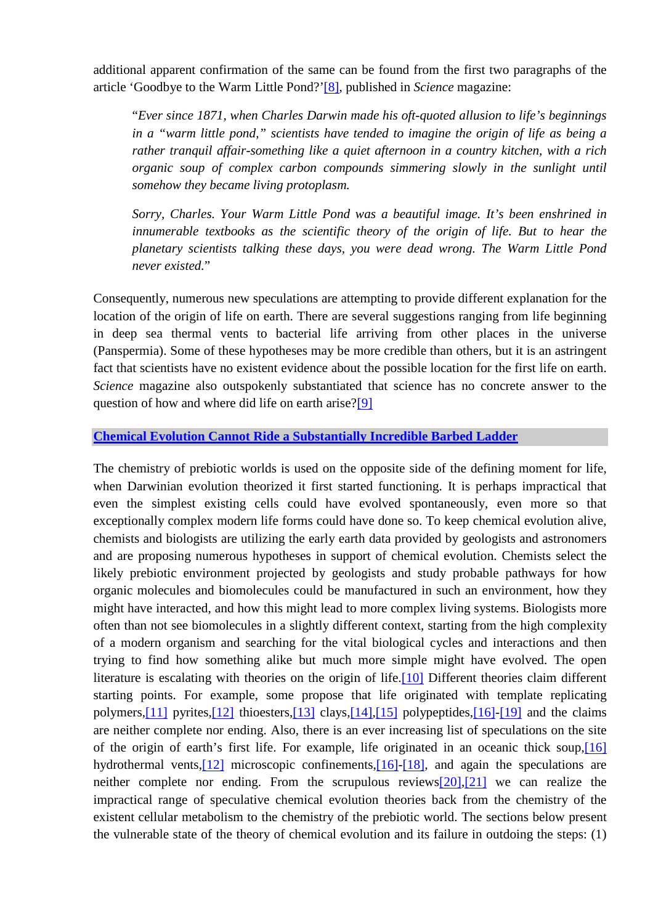additional apparent confirmation of the same can be found from the first two paragraphs of the article 'Goodbye to the Warm Little Pond?'[\[8\],](http://scienceandscientist.org/biology/) published in *Science* magazine:

"*Ever since 1871, when Charles Darwin made his oft-quoted allusion to life's beginnings in a "warm little pond," scientists have tended to imagine the origin of life as being a rather tranquil affair-something like a quiet afternoon in a country kitchen, with a rich organic soup of complex carbon compounds simmering slowly in the sunlight until somehow they became living protoplasm.*

*Sorry, Charles. Your Warm Little Pond was a beautiful image. It's been enshrined in innumerable textbooks as the scientific theory of the origin of life. But to hear the planetary scientists talking these days, you were dead wrong. The Warm Little Pond never existed.*"

Consequently, numerous new speculations are attempting to provide different explanation for the location of the origin of life on earth. There are several suggestions ranging from life beginning in deep sea thermal vents to bacterial life arriving from other places in the universe (Panspermia). Some of these hypotheses may be more credible than others, but it is an astringent fact that scientists have no existent evidence about the possible location for the first life on earth. *Science* magazine also outspokenly substantiated that science has no concrete answer to the question of how and where did life on earth arise?[9]

## **[Chemical Evolution Cannot Ride a Substantially Incredible Barbed Ladder](http://scienceandscientist.org/biology/)**

The chemistry of prebiotic worlds is used on the opposite side of the defining moment for life, when Darwinian evolution theorized it first started functioning. It is perhaps impractical that even the simplest existing cells could have evolved spontaneously, even more so that exceptionally complex modern life forms could have done so. To keep chemical evolution alive, chemists and biologists are utilizing the early earth data provided by geologists and astronomers and are proposing numerous hypotheses in support of chemical evolution. Chemists select the likely prebiotic environment projected by geologists and study probable pathways for how organic molecules and biomolecules could be manufactured in such an environment, how they might have interacted, and how this might lead to more complex living systems. Biologists more often than not see biomolecules in a slightly different context, starting from the high complexity of a modern organism and searching for the vital biological cycles and interactions and then trying to find how something alike but much more simple might have evolved. The open literature is escalating with theories on the origin of life.<sup>[\[10\]](http://scienceandscientist.org/biology/)</sup> Different theories claim different starting points. For example, some propose that life originated with template replicating polymers,<sup>[11]</sup> pyrites,<sup>[12]</sup> thioesters,<sup>[13]</sup> clays,<sup>[14]</sup>,<sup>[15]</sup> polypeptides,<sup>[16]</sup>-[19] and the claims are neither complete nor ending. Also, there is an ever increasing list of speculations on the site of the origin of earth's first life. For example, life originated in an oceanic thick soup,[\[16\]](http://scienceandscientist.org/biology/biology.html) hydrothermal vents,<sup>[12]</sup> microscopic confinements,<sup>[16]-[18]</sup>, and again the speculations are neither complete nor ending. From the scrupulous reviews[\[20\],\[21\]](http://scienceandscientist.org/biology/) we can realize the impractical range of speculative chemical evolution theories back from the chemistry of the existent cellular metabolism to the chemistry of the prebiotic world. The sections below present the vulnerable state of the theory of chemical evolution and its failure in outdoing the steps: (1)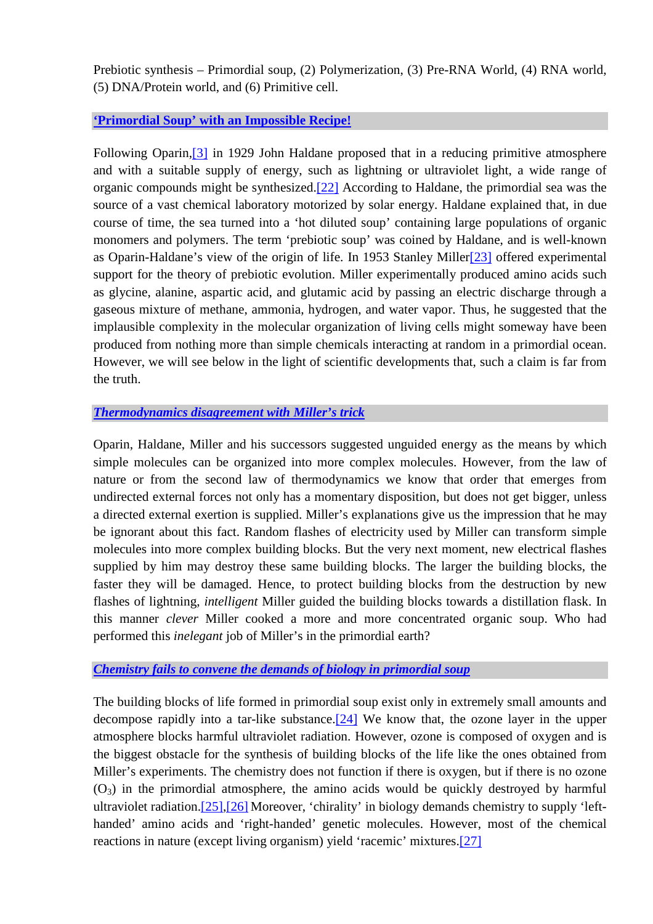Prebiotic synthesis – Primordial soup, (2) Polymerization, (3) Pre-RNA World, (4) RNA world, (5) DNA/Protein world, and (6) Primitive cell.

## **['Primordial Soup' with an Impossible Recipe!](http://scienceandscientist.org/biology/)**

Following Oparin,[\[3\]](http://scienceandscientist.org/biology/biology.html) in 1929 John Haldane proposed that in a reducing primitive atmosphere and with a suitable supply of energy, such as lightning or ultraviolet light, a wide range of organic compounds might be synthesized.[\[22\]](http://scienceandscientist.org/biology/) According to Haldane, the primordial sea was the source of a vast chemical laboratory motorized by solar energy. Haldane explained that, in due course of time, the sea turned into a 'hot diluted soup' containing large populations of organic monomers and polymers. The term 'prebiotic soup' was coined by Haldane, and is well-known as Oparin-Haldane's view of the origin of life. In 1953 Stanley Mille[r\[23\]](http://scienceandscientist.org/biology/) offered experimental support for the theory of prebiotic evolution. Miller experimentally produced amino acids such as glycine, alanine, aspartic acid, and glutamic acid by passing an electric discharge through a gaseous mixture of methane, ammonia, hydrogen, and water vapor. Thus, he suggested that the implausible complexity in the molecular organization of living cells might someway have been produced from nothing more than simple chemicals interacting at random in a primordial ocean. However, we will see below in the light of scientific developments that, such a claim is far from the truth.

# *[Thermodynamics disagreement with Miller's trick](http://scienceandscientist.org/biology/)*

Oparin, Haldane, Miller and his successors suggested unguided energy as the means by which simple molecules can be organized into more complex molecules. However, from the law of nature or from the second law of thermodynamics we know that order that emerges from undirected external forces not only has a momentary disposition, but does not get bigger, unless a directed external exertion is supplied. Miller's explanations give us the impression that he may be ignorant about this fact. Random flashes of electricity used by Miller can transform simple molecules into more complex building blocks. But the very next moment, new electrical flashes supplied by him may destroy these same building blocks. The larger the building blocks, the faster they will be damaged. Hence, to protect building blocks from the destruction by new flashes of lightning, *intelligent* Miller guided the building blocks towards a distillation flask. In this manner *clever* Miller cooked a more and more concentrated organic soup. Who had performed this *inelegant* job of Miller's in the primordial earth?

## *[Chemistry fails to convene the demands of biology in primordial soup](http://scienceandscientist.org/biology/)*

The building blocks of life formed in primordial soup exist only in extremely small amounts and decompose rapidly into a tar-like substance.[\[24\]](http://scienceandscientist.org/biology/) We know that, the ozone layer in the upper atmosphere blocks harmful ultraviolet radiation. However, ozone is composed of oxygen and is the biggest obstacle for the synthesis of building blocks of the life like the ones obtained from Miller's experiments. The chemistry does not function if there is oxygen, but if there is no ozone  $(O_3)$  in the primordial atmosphere, the amino acids would be quickly destroyed by harmful ultraviolet radiation.[\[25\],\[26\]](http://scienceandscientist.org/biology/) Moreover, 'chirality' in biology demands chemistry to supply 'lefthanded' amino acids and 'right-handed' genetic molecules. However, most of the chemical reactions in nature (except living organism) yield 'racemic' mixtures.[[27\]](http://scienceandscientist.org/biology/)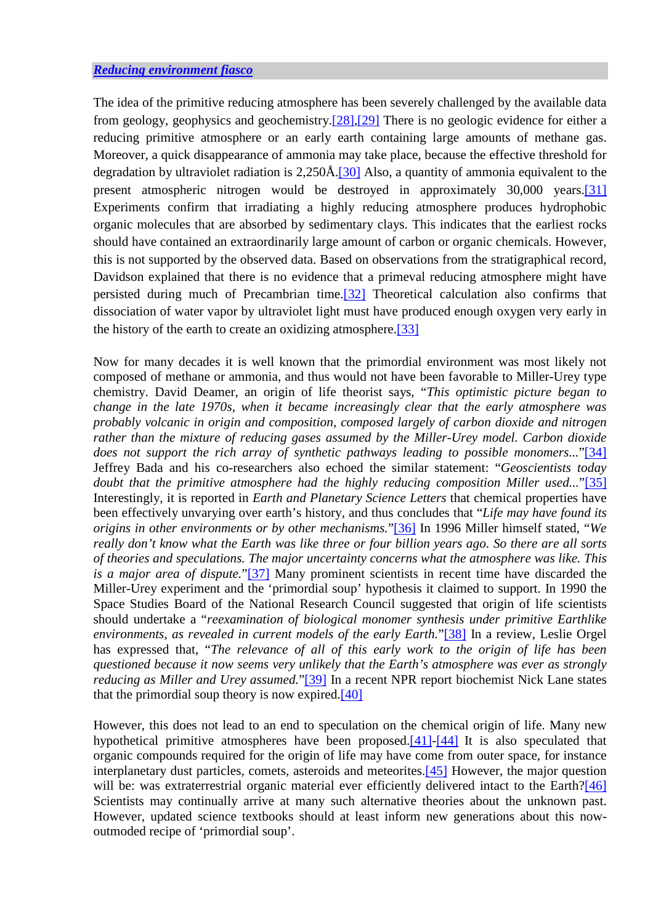The idea of the primitive reducing atmosphere has been severely challenged by the available data from geology, geophysics and geochemistry.[\[28\],\[29\]](http://scienceandscientist.org/biology/) There is no geologic evidence for either a reducing primitive atmosphere or an early earth containing large amounts of methane gas. Moreover, a quick disappearance of ammonia may take place, because the effective threshold for degradation by ultraviolet radiation is  $2,250\text{\AA}$ . [30] Also, a quantity of ammonia equivalent to the present atmospheric nitrogen would be destroyed in approximately 30,000 years.[\[31\]](http://scienceandscientist.org/biology/) Experiments confirm that irradiating a highly reducing atmosphere produces hydrophobic organic molecules that are absorbed by sedimentary clays. This indicates that the earliest rocks should have contained an extraordinarily large amount of carbon or organic chemicals. However, this is not supported by the observed data. Based on observations from the stratigraphical record, Davidson explained that there is no evidence that a primeval reducing atmosphere might have persisted during much of Precambrian time[.\[32\]](http://scienceandscientist.org/biology/) Theoretical calculation also confirms that dissociation of water vapor by ultraviolet light must have produced enough oxygen very early in the history of the earth to create an oxidizing atmosphere.[[33\]](http://scienceandscientist.org/biology/)

Now for many decades it is well known that the primordial environment was most likely not composed of methane or ammonia, and thus would not have been favorable to Miller-Urey type chemistry. David Deamer, an origin of life theorist says, "*This optimistic picture began to change in the late 1970s, when it became increasingly clear that the early atmosphere was probably volcanic in origin and composition, composed largely of carbon dioxide and nitrogen rather than the mixture of reducing gases assumed by the Miller-Urey model. Carbon dioxide does not support the rich array of synthetic pathways leading to possible monomers...*"[\[34\]](http://scienceandscientist.org/biology/) Jeffrey Bada and his co-researchers also echoed the similar statement: "*Geoscientists today doubt that the primitive atmosphere had the highly reducing composition Miller used...*"[\[35\]](http://scienceandscientist.org/biology/) Interestingly, it is reported in *Earth and Planetary Science Letters* that chemical properties have been effectively unvarying over earth's history, and thus concludes that "*Life may have found its origins in other environments or by other mechanisms.*["\[36\]](http://scienceandscientist.org/biology/) In 1996 Miller himself stated, "*We really don't know what the Earth was like three or four billion years ago. So there are all sorts of theories and speculations. The major uncertainty concerns what the atmosphere was like. This is a major area of dispute.*["\[37\]](http://scienceandscientist.org/biology/) Many prominent scientists in recent time have discarded the Miller-Urey experiment and the 'primordial soup' hypothesis it claimed to support. In 1990 the Space Studies Board of the National Research Council suggested that origin of life scientists should undertake a "*reexamination of biological monomer synthesis under primitive Earthlike environments, as revealed in current models of the early Earth.*"[\[38\]](http://scienceandscientist.org/biology/) In a review, Leslie Orgel has expressed that, "*The relevance of all of this early work to the origin of life has been questioned because it now seems very unlikely that the Earth's atmosphere was ever as strongly reducing as Miller and Urey assumed.*"[\[39\]](http://scienceandscientist.org/biology/) In a recent NPR report biochemist Nick Lane states that the primordial soup theory is now expired. $[40]$ 

However, this does not lead to an end to speculation on the chemical origin of life. Many new hypothetical primitive atmospheres have been proposed.[\[41\]-\[44\]](http://scienceandscientist.org/biology/) It is also speculated that organic compounds required for the origin of life may have come from outer space, for instance interplanetary dust particles, comets, asteroids and meteorites.[\[45\]](http://scienceandscientist.org/biology/) However, the major question will be: was extraterrestrial organic material ever efficiently delivered intact to the Earth?[\[46\]](http://scienceandscientist.org/biology/) Scientists may continually arrive at many such alternative theories about the unknown past. However, updated science textbooks should at least inform new generations about this nowoutmoded recipe of 'primordial soup'.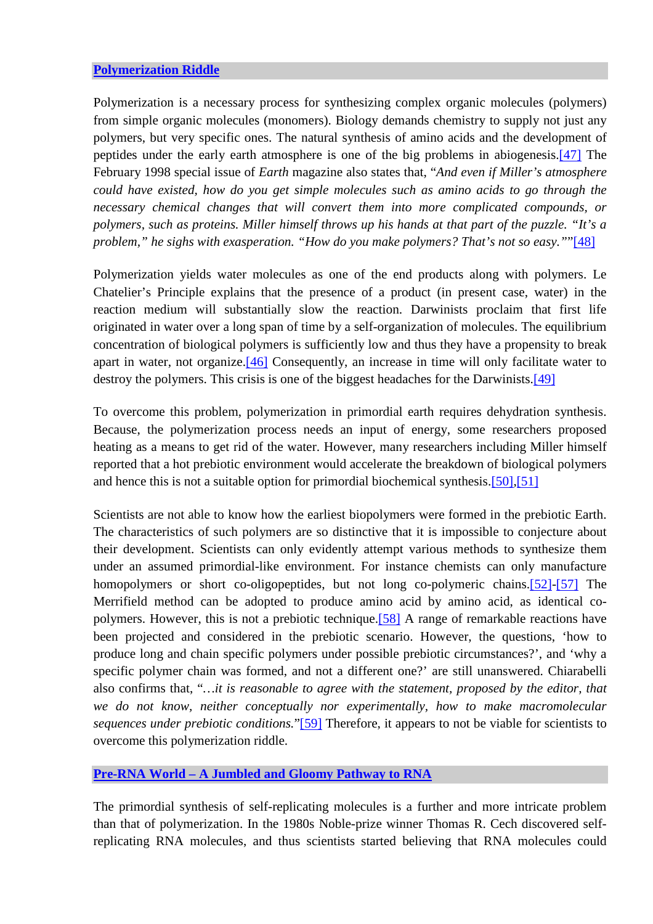## **[Polymerization Riddle](http://scienceandscientist.org/biology/)**

Polymerization is a necessary process for synthesizing complex organic molecules (polymers) from simple organic molecules (monomers). Biology demands chemistry to supply not just any polymers, but very specific ones. The natural synthesis of amino acids and the development of peptides under the early earth atmosphere is one of the big problems in abiogenesis.[\[47\]](http://scienceandscientist.org/biology/) The February 1998 special issue of *Earth* magazine also states that, "*And even if Miller's atmosphere could have existed, how do you get simple molecules such as amino acids to go through the necessary chemical changes that will convert them into more complicated compounds, or polymers, such as proteins. Miller himself throws up his hands at that part of the puzzle. "It's a problem," he sighs with exasperation. "How do you make polymers? That's not so easy."*"[\[48\]](http://scienceandscientist.org/biology/)

Polymerization yields water molecules as one of the end products along with polymers. Le Chatelier's Principle explains that the presence of a product (in present case, water) in the reaction medium will substantially slow the reaction. Darwinists proclaim that first life originated in water over a long span of time by a self-organization of molecules. The equilibrium concentration of biological polymers is sufficiently low and thus they have a propensity to break apart in water, not organize.[\[46\]](http://scienceandscientist.org/biology/biology.html) Consequently, an increase in time will only facilitate water to destroy the polymers. This crisis is one of the biggest headaches for the Darwinists.<sup>[\[49\]](http://scienceandscientist.org/biology/)</sup>

To overcome this problem, polymerization in primordial earth requires dehydration synthesis. Because, the polymerization process needs an input of energy, some researchers proposed heating as a means to get rid of the water. However, many researchers including Miller himself reported that a hot prebiotic environment would accelerate the breakdown of biological polymers and hence this is not a suitable option for primordial biochemical synthesis.[50],[51]

Scientists are not able to know how the earliest biopolymers were formed in the prebiotic Earth. The characteristics of such polymers are so distinctive that it is impossible to conjecture about their development. Scientists can only evidently attempt various methods to synthesize them under an assumed primordial-like environment. For instance chemists can only manufacture homopolymers or short co-oligopeptides, but not long co-polymeric chains.[\[52\]-\[57\]](http://scienceandscientist.org/biology/) The Merrifield method can be adopted to produce amino acid by amino acid, as identical copolymers. However, this is not a prebiotic technique.[\[58\]](http://scienceandscientist.org/biology/) A range of remarkable reactions have been projected and considered in the prebiotic scenario. However, the questions, 'how to produce long and chain specific polymers under possible prebiotic circumstances?', and 'why a specific polymer chain was formed, and not a different one?' are still unanswered. Chiarabelli also confirms that, "*…it is reasonable to agree with the statement, proposed by the editor, that we do not know, neither conceptually nor experimentally, how to make macromolecular sequences under prebiotic conditions.*["\[59\]](http://scienceandscientist.org/biology/) Therefore, it appears to not be viable for scientists to overcome this polymerization riddle.

## **[Pre-RNA World – A Jumbled and Gloomy Pathway to RNA](http://scienceandscientist.org/biology/)**

The primordial synthesis of self-replicating molecules is a further and more intricate problem than that of polymerization. In the 1980s Noble-prize winner Thomas R. Cech discovered selfreplicating RNA molecules, and thus scientists started believing that RNA molecules could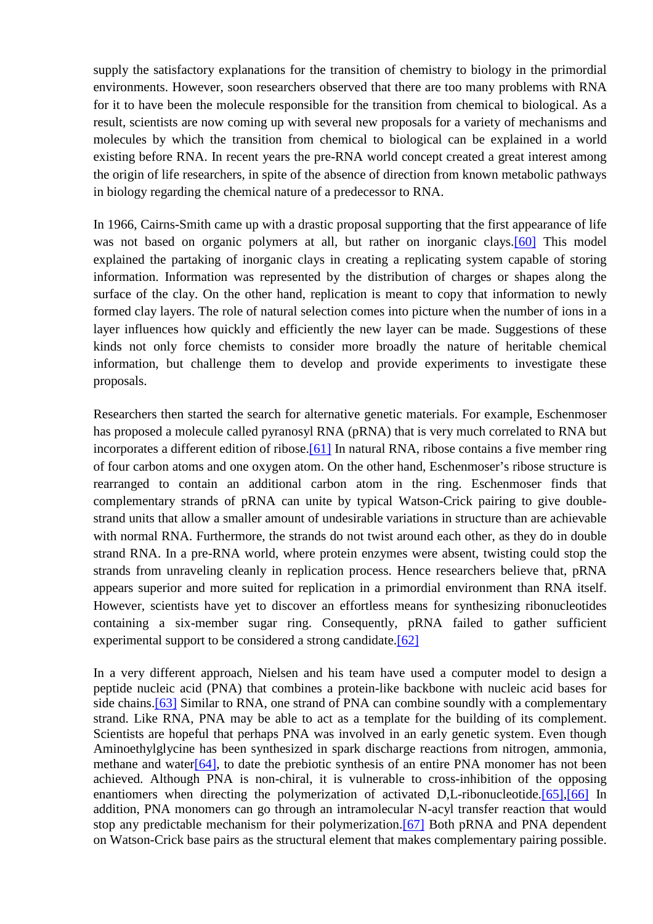supply the satisfactory explanations for the transition of chemistry to biology in the primordial environments. However, soon researchers observed that there are too many problems with RNA for it to have been the molecule responsible for the transition from chemical to biological. As a result, scientists are now coming up with several new proposals for a variety of mechanisms and molecules by which the transition from chemical to biological can be explained in a world existing before RNA. In recent years the pre-RNA world concept created a great interest among the origin of life researchers, in spite of the absence of direction from known metabolic pathways in biology regarding the chemical nature of a predecessor to RNA.

In 1966, Cairns-Smith came up with a drastic proposal supporting that the first appearance of life was not based on organic polymers at all, but rather on inorganic clays.<sup>[60]</sup> This model explained the partaking of inorganic clays in creating a replicating system capable of storing information. Information was represented by the distribution of charges or shapes along the surface of the clay. On the other hand, replication is meant to copy that information to newly formed clay layers. The role of natural selection comes into picture when the number of ions in a layer influences how quickly and efficiently the new layer can be made. Suggestions of these kinds not only force chemists to consider more broadly the nature of heritable chemical information, but challenge them to develop and provide experiments to investigate these proposals.

Researchers then started the search for alternative genetic materials. For example, Eschenmoser has proposed a molecule called pyranosyl RNA (pRNA) that is very much correlated to RNA but incorporates a different edition of ribose.<sup>[61]</sup> In natural RNA, ribose contains a five member ring of four carbon atoms and one oxygen atom. On the other hand, Eschenmoser's ribose structure is rearranged to contain an additional carbon atom in the ring. Eschenmoser finds that complementary strands of pRNA can unite by typical Watson-Crick pairing to give doublestrand units that allow a smaller amount of undesirable variations in structure than are achievable with normal RNA. Furthermore, the strands do not twist around each other, as they do in double strand RNA. In a pre-RNA world, where protein enzymes were absent, twisting could stop the strands from unraveling cleanly in replication process. Hence researchers believe that, pRNA appears superior and more suited for replication in a primordial environment than RNA itself. However, scientists have yet to discover an effortless means for synthesizing ribonucleotides containing a six-member sugar ring. Consequently, pRNA failed to gather sufficient experimental support to be considered a strong candidate.<sup>[\[62\]](http://scienceandscientist.org/biology/)</sup>

In a very different approach, Nielsen and his team have used a computer model to design a peptide nucleic acid (PNA) that combines a protein-like backbone with nucleic acid bases for side chains.<sup>[63]</sup> Similar to RNA, one strand of PNA can combine soundly with a complementary strand. Like RNA, PNA may be able to act as a template for the building of its complement. Scientists are hopeful that perhaps PNA was involved in an early genetic system. Even though Aminoethylglycine has been synthesized in spark discharge reactions from nitrogen, ammonia, methane and water<sup>[64]</sup>, to date the prebiotic synthesis of an entire PNA monomer has not been achieved. Although PNA is non-chiral, it is vulnerable to cross-inhibition of the opposing enantiomers when directing the polymerization of activated D,L-ribonucleotide.<sup>[65]</sup>,[66] In addition, PNA monomers can go through an intramolecular N-acyl transfer reaction that would stop any predictable mechanism for their polymerization.<sup>[67]</sup> Both pRNA and PNA dependent on Watson-Crick base pairs as the structural element that makes complementary pairing possible.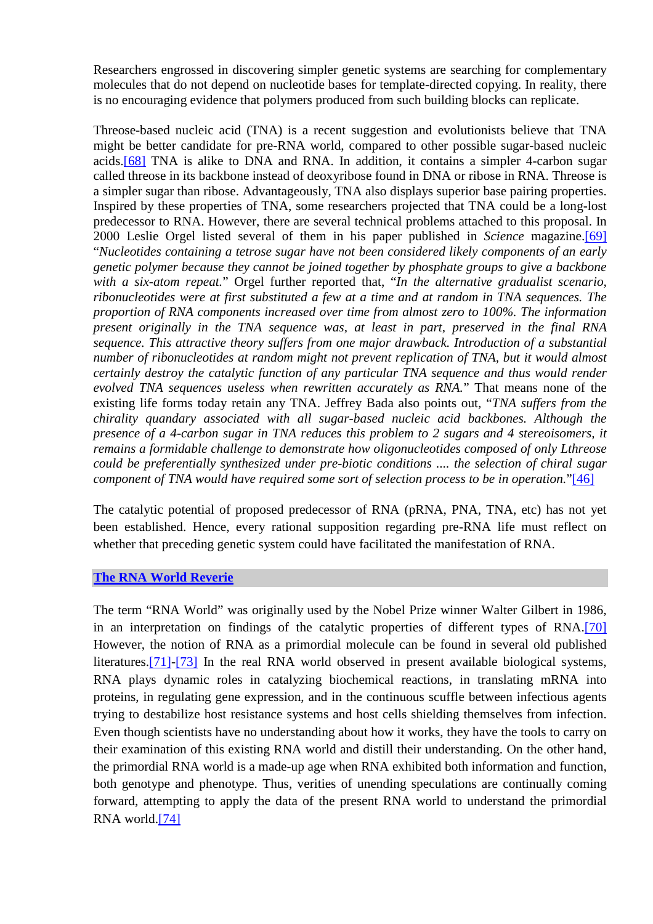Researchers engrossed in discovering simpler genetic systems are searching for complementary molecules that do not depend on nucleotide bases for template-directed copying. In reality, there is no encouraging evidence that polymers produced from such building blocks can replicate.

Threose-based nucleic acid (TNA) is a recent suggestion and evolutionists believe that TNA might be better candidate for pre-RNA world, compared to other possible sugar-based nucleic acids.[\[68\]](http://scienceandscientist.org/biology/) TNA is alike to DNA and RNA. In addition, it contains a simpler 4-carbon sugar called threose in its backbone instead of deoxyribose found in DNA or ribose in RNA. Threose is a simpler sugar than ribose. Advantageously, TNA also displays superior base pairing properties. Inspired by these properties of TNA, some researchers projected that TNA could be a long-lost predecessor to RNA. However, there are several technical problems attached to this proposal. In 2000 Leslie Orgel listed several of them in his paper published in *Science* magazine.[\[69\]](http://scienceandscientist.org/biology/) "*Nucleotides containing a tetrose sugar have not been considered likely components of an early genetic polymer because they cannot be joined together by phosphate groups to give a backbone with a six-atom repeat.*" Orgel further reported that, "*In the alternative gradualist scenario, ribonucleotides were at first substituted a few at a time and at random in TNA sequences. The proportion of RNA components increased over time from almost zero to 100%. The information present originally in the TNA sequence was, at least in part, preserved in the final RNA sequence. This attractive theory suffers from one major drawback. Introduction of a substantial number of ribonucleotides at random might not prevent replication of TNA, but it would almost certainly destroy the catalytic function of any particular TNA sequence and thus would render evolved TNA sequences useless when rewritten accurately as RNA.*" That means none of the existing life forms today retain any TNA. Jeffrey Bada also points out, "*TNA suffers from the chirality quandary associated with all sugar-based nucleic acid backbones. Although the presence of a 4-carbon sugar in TNA reduces this problem to 2 sugars and 4 stereoisomers, it remains a formidable challenge to demonstrate how oligonucleotides composed of only Lthreose could be preferentially synthesized under pre-biotic conditions .... the selection of chiral sugar component of TNA would have required some sort of selection process to be in operation.*"[\[46\]](http://scienceandscientist.org/biology/biology.html)

The catalytic potential of proposed predecessor of RNA (pRNA, PNA, TNA, etc) has not yet been established. Hence, every rational supposition regarding pre-RNA life must reflect on whether that preceding genetic system could have facilitated the manifestation of RNA.

#### **[The RNA World Reverie](http://scienceandscientist.org/biology/)**

The term "RNA World" was originally used by the Nobel Prize winner Walter Gilbert in 1986, in an interpretation on findings of the catalytic properties of different types of RNA.[\[70\]](http://scienceandscientist.org/biology/) However, the notion of RNA as a primordial molecule can be found in several old published literatures.[\[71\]-\[73\]](http://scienceandscientist.org/biology/) In the real RNA world observed in present available biological systems, RNA plays dynamic roles in catalyzing biochemical reactions, in translating mRNA into proteins, in regulating gene expression, and in the continuous scuffle between infectious agents trying to destabilize host resistance systems and host cells shielding themselves from infection. Even though scientists have no understanding about how it works, they have the tools to carry on their examination of this existing RNA world and distill their understanding. On the other hand, the primordial RNA world is a made-up age when RNA exhibited both information and function, both genotype and phenotype. Thus, verities of unending speculations are continually coming forward, attempting to apply the data of the present RNA world to understand the primordial RNA world[.\[74\]](http://scienceandscientist.org/biology/)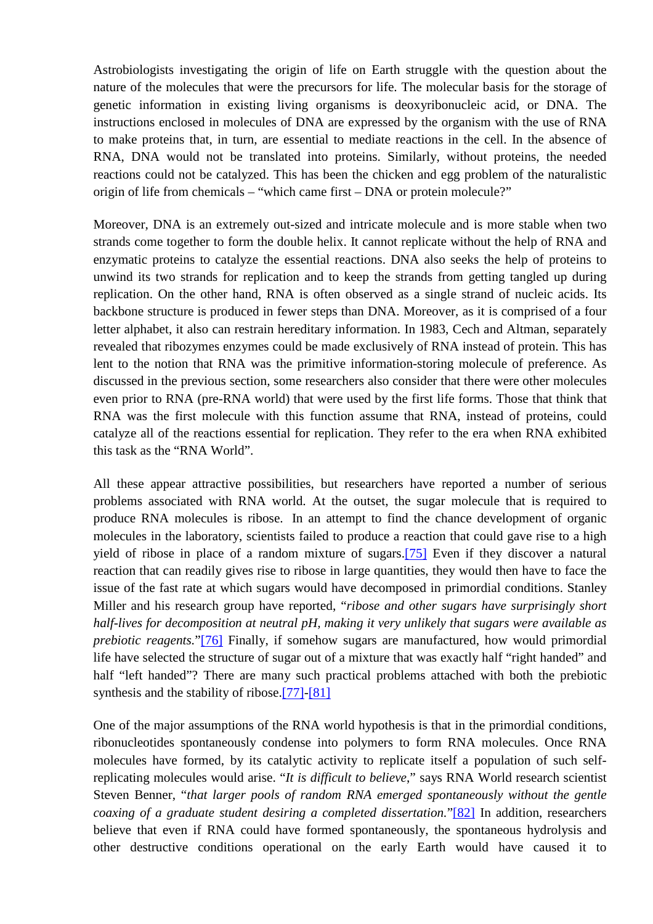Astrobiologists investigating the origin of life on Earth struggle with the question about the nature of the molecules that were the precursors for life. The molecular basis for the storage of genetic information in existing living organisms is deoxyribonucleic acid, or DNA. The instructions enclosed in molecules of DNA are expressed by the organism with the use of RNA to make proteins that, in turn, are essential to mediate reactions in the cell. In the absence of RNA, DNA would not be translated into proteins. Similarly, without proteins, the needed reactions could not be catalyzed. This has been the chicken and egg problem of the naturalistic origin of life from chemicals – "which came first – DNA or protein molecule?"

Moreover, DNA is an extremely out-sized and intricate molecule and is more stable when two strands come together to form the double helix. It cannot replicate without the help of RNA and enzymatic proteins to catalyze the essential reactions. DNA also seeks the help of proteins to unwind its two strands for replication and to keep the strands from getting tangled up during replication. On the other hand, RNA is often observed as a single strand of nucleic acids. Its backbone structure is produced in fewer steps than DNA. Moreover, as it is comprised of a four letter alphabet, it also can restrain hereditary information. In 1983, Cech and Altman, separately revealed that ribozymes enzymes could be made exclusively of RNA instead of protein. This has lent to the notion that RNA was the primitive information-storing molecule of preference. As discussed in the previous section, some researchers also consider that there were other molecules even prior to RNA (pre-RNA world) that were used by the first life forms. Those that think that RNA was the first molecule with this function assume that RNA, instead of proteins, could catalyze all of the reactions essential for replication. They refer to the era when RNA exhibited this task as the "RNA World".

All these appear attractive possibilities, but researchers have reported a number of serious problems associated with RNA world. At the outset, the sugar molecule that is required to produce RNA molecules is ribose. In an attempt to find the chance development of organic molecules in the laboratory, scientists failed to produce a reaction that could gave rise to a high yield of ribose in place of a random mixture of sugars.[\[75\]](http://scienceandscientist.org/biology/) Even if they discover a natural reaction that can readily gives rise to ribose in large quantities, they would then have to face the issue of the fast rate at which sugars would have decomposed in primordial conditions. Stanley Miller and his research group have reported, "*ribose and other sugars have surprisingly short half-lives for decomposition at neutral pH, making it very unlikely that sugars were available as prebiotic reagents.*"[\[76\]](http://scienceandscientist.org/biology/) Finally, if somehow sugars are manufactured, how would primordial life have selected the structure of sugar out of a mixture that was exactly half "right handed" and half "left handed"? There are many such practical problems attached with both the prebiotic synthesis and the stability of ribose.[\[77\]-\[81\]](http://scienceandscientist.org/biology/) 

One of the major assumptions of the RNA world hypothesis is that in the primordial conditions, ribonucleotides spontaneously condense into polymers to form RNA molecules. Once RNA molecules have formed, by its catalytic activity to replicate itself a population of such selfreplicating molecules would arise. "*It is difficult to believe*," says RNA World research scientist Steven Benner, "*that larger pools of random RNA emerged spontaneously without the gentle coaxing of a graduate student desiring a completed dissertation.*"[\[82\]](http://scienceandscientist.org/biology/) In addition, researchers believe that even if RNA could have formed spontaneously, the spontaneous hydrolysis and other destructive conditions operational on the early Earth would have caused it to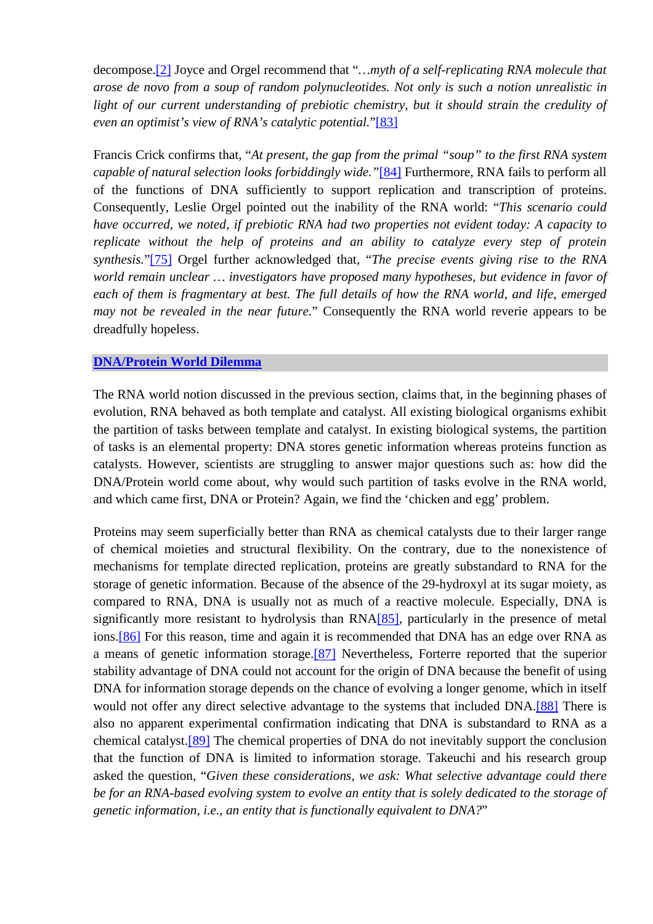decompose.[\[2\]](http://scienceandscientist.org/biology/biology.html) Joyce and Orgel recommend that "*…myth of a self-replicating RNA molecule that arose de novo from a soup of random polynucleotides. Not only is such a notion unrealistic in light of our current understanding of prebiotic chemistry, but it should strain the credulity of even an optimist's view of RNA's catalytic potential.*"[\[83\]](http://scienceandscientist.org/biology/) 

Francis Crick confirms that, "*At present, the gap from the primal "soup" to the first RNA system capable of natural selection looks forbiddingly wide."*[\[84\]](http://scienceandscientist.org/biology/) Furthermore, RNA fails to perform all of the functions of DNA sufficiently to support replication and transcription of proteins. Consequently, Leslie Orgel pointed out the inability of the RNA world: "*This scenario could have occurred, we noted, if prebiotic RNA had two properties not evident today: A capacity to replicate without the help of proteins and an ability to catalyze every step of protein synthesis.*"[\[75\]](http://scienceandscientist.org/biology/biology.html) Orgel further acknowledged that, "*The precise events giving rise to the RNA world remain unclear … investigators have proposed many hypotheses, but evidence in favor of each of them is fragmentary at best. The full details of how the RNA world, and life, emerged may not be revealed in the near future.*" Consequently the RNA world reverie appears to be dreadfully hopeless.

#### **[DNA/Protein World Dilemma](http://scienceandscientist.org/biology/)**

The RNA world notion discussed in the previous section, claims that, in the beginning phases of evolution, RNA behaved as both template and catalyst. All existing biological organisms exhibit the partition of tasks between template and catalyst. In existing biological systems, the partition of tasks is an elemental property: DNA stores genetic information whereas proteins function as catalysts. However, scientists are struggling to answer major questions such as: how did the DNA/Protein world come about, why would such partition of tasks evolve in the RNA world, and which came first, DNA or Protein? Again, we find the 'chicken and egg' problem.

Proteins may seem superficially better than RNA as chemical catalysts due to their larger range of chemical moieties and structural flexibility. On the contrary, due to the nonexistence of mechanisms for template directed replication, proteins are greatly substandard to RNA for the storage of genetic information. Because of the absence of the 29-hydroxyl at its sugar moiety, as compared to RNA, DNA is usually not as much of a reactive molecule. Especially, DNA is significantly more resistant to hydrolysis than RNA[\[85\],](http://scienceandscientist.org/biology/) particularly in the presence of metal ions[.\[86\]](http://scienceandscientist.org/biology/) For this reason, time and again it is recommended that DNA has an edge over RNA as a means of genetic information storage.[\[87\]](http://scienceandscientist.org/biology/) Nevertheless, Forterre reported that the superior stability advantage of DNA could not account for the origin of DNA because the benefit of using DNA for information storage depends on the chance of evolving a longer genome, which in itself would not offer any direct selective advantage to the systems that included DNA.<sup>[88]</sup> There is also no apparent experimental confirmation indicating that DNA is substandard to RNA as a chemical catalyst.[\[89\]](http://scienceandscientist.org/biology/) The chemical properties of DNA do not inevitably support the conclusion that the function of DNA is limited to information storage. Takeuchi and his research group asked the question, "*Given these considerations, we ask: What selective advantage could there be for an RNA-based evolving system to evolve an entity that is solely dedicated to the storage of genetic information, i.e., an entity that is functionally equivalent to DNA?*"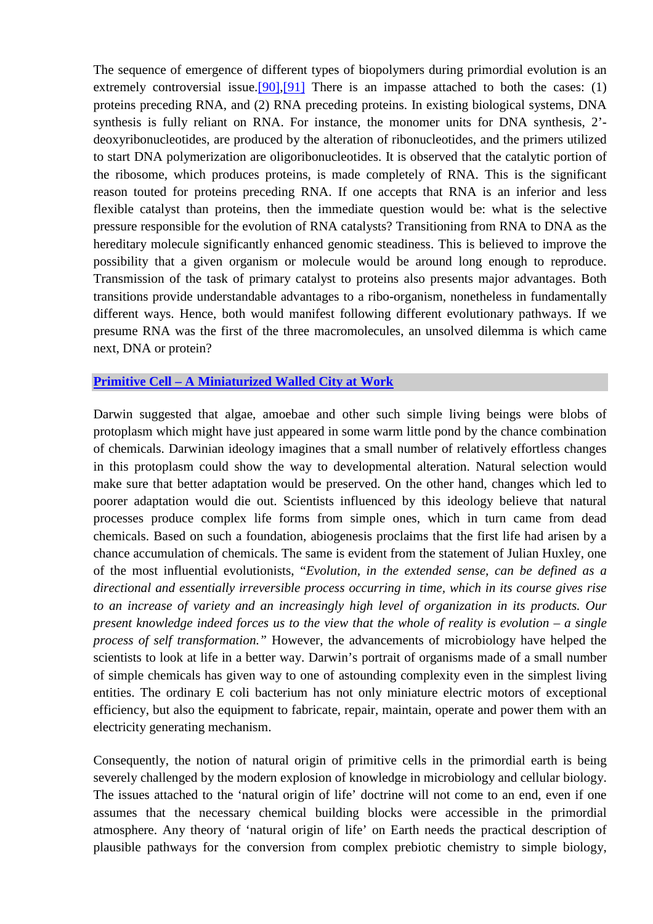The sequence of emergence of different types of biopolymers during primordial evolution is an extremely controversial issue.<sup>[90]</sup>,<sup>[91]</sup> There is an impasse attached to both the cases: (1) proteins preceding RNA, and (2) RNA preceding proteins. In existing biological systems, DNA synthesis is fully reliant on RNA. For instance, the monomer units for DNA synthesis, 2' deoxyribonucleotides, are produced by the alteration of ribonucleotides, and the primers utilized to start DNA polymerization are oligoribonucleotides. It is observed that the catalytic portion of the ribosome, which produces proteins, is made completely of RNA. This is the significant reason touted for proteins preceding RNA. If one accepts that RNA is an inferior and less flexible catalyst than proteins, then the immediate question would be: what is the selective pressure responsible for the evolution of RNA catalysts? Transitioning from RNA to DNA as the hereditary molecule significantly enhanced genomic steadiness. This is believed to improve the possibility that a given organism or molecule would be around long enough to reproduce. Transmission of the task of primary catalyst to proteins also presents major advantages. Both transitions provide understandable advantages to a ribo-organism, nonetheless in fundamentally different ways. Hence, both would manifest following different evolutionary pathways. If we presume RNA was the first of the three macromolecules, an unsolved dilemma is which came next, DNA or protein?

#### **[Primitive Cell – A Miniaturized Walled City at Work](http://scienceandscientist.org/biology/)**

Darwin suggested that algae, amoebae and other such simple living beings were blobs of protoplasm which might have just appeared in some warm little pond by the chance combination of chemicals. Darwinian ideology imagines that a small number of relatively effortless changes in this protoplasm could show the way to developmental alteration. Natural selection would make sure that better adaptation would be preserved. On the other hand, changes which led to poorer adaptation would die out. Scientists influenced by this ideology believe that natural processes produce complex life forms from simple ones, which in turn came from dead chemicals. Based on such a foundation, abiogenesis proclaims that the first life had arisen by a chance accumulation of chemicals. The same is evident from the statement of Julian Huxley, one of the most influential evolutionists, "*Evolution, in the extended sense, can be defined as a directional and essentially irreversible process occurring in time, which in its course gives rise to an increase of variety and an increasingly high level of organization in its products. Our present knowledge indeed forces us to the view that the whole of reality is evolution – a single process of self transformation."* However, the advancements of microbiology have helped the scientists to look at life in a better way. Darwin's portrait of organisms made of a small number of simple chemicals has given way to one of astounding complexity even in the simplest living entities. The ordinary E coli bacterium has not only miniature electric motors of exceptional efficiency, but also the equipment to fabricate, repair, maintain, operate and power them with an electricity generating mechanism.

Consequently, the notion of natural origin of primitive cells in the primordial earth is being severely challenged by the modern explosion of knowledge in microbiology and cellular biology. The issues attached to the 'natural origin of life' doctrine will not come to an end, even if one assumes that the necessary chemical building blocks were accessible in the primordial atmosphere. Any theory of 'natural origin of life' on Earth needs the practical description of plausible pathways for the conversion from complex prebiotic chemistry to simple biology,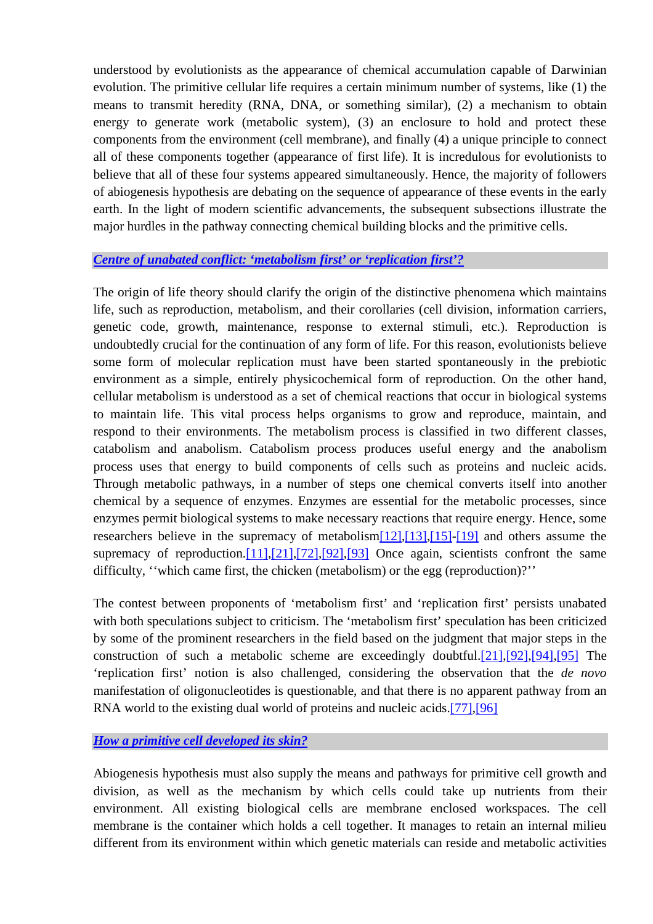understood by evolutionists as the appearance of chemical accumulation capable of Darwinian evolution. The primitive cellular life requires a certain minimum number of systems, like (1) the means to transmit heredity (RNA, DNA, or something similar), (2) a mechanism to obtain energy to generate work (metabolic system), (3) an enclosure to hold and protect these components from the environment (cell membrane), and finally (4) a unique principle to connect all of these components together (appearance of first life). It is incredulous for evolutionists to believe that all of these four systems appeared simultaneously. Hence, the majority of followers of abiogenesis hypothesis are debating on the sequence of appearance of these events in the early earth. In the light of modern scientific advancements, the subsequent subsections illustrate the major hurdles in the pathway connecting chemical building blocks and the primitive cells.

## *[Centre of unabated conflict: 'metabolism first' or 'replication first'?](http://scienceandscientist.org/biology/)*

The origin of life theory should clarify the origin of the distinctive phenomena which maintains life, such as reproduction, metabolism, and their corollaries (cell division, information carriers, genetic code, growth, maintenance, response to external stimuli, etc.). Reproduction is undoubtedly crucial for the continuation of any form of life. For this reason, evolutionists believe some form of molecular replication must have been started spontaneously in the prebiotic environment as a simple, entirely physicochemical form of reproduction. On the other hand, cellular metabolism is understood as a set of chemical reactions that occur in biological systems to maintain life. This vital process helps organisms to grow and reproduce, maintain, and respond to their environments. The metabolism process is classified in two different classes, catabolism and anabolism. Catabolism process produces useful energy and the anabolism process uses that energy to build components of cells such as proteins and nucleic acids. Through metabolic pathways, in a number of steps one chemical converts itself into another chemical by a sequence of enzymes. Enzymes are essential for the metabolic processes, since enzymes permit biological systems to make necessary reactions that require energy. Hence, some researchers believe in the supremacy of metabolism[\[12\],\[13\],\[15\]-\[19\]](http://scienceandscientist.org/biology/biology.html) and others assume the supremacy of reproduction[.\[11\]](http://scienceandscientist.org/biology/biology.html),[\[21\],\[72\]](http://scienceandscientist.org/biology/biology.html),[\[92\],\[93\]](http://scienceandscientist.org/biology/) Once again, scientists confront the same difficulty, ''which came first, the chicken (metabolism) or the egg (reproduction)?''

The contest between proponents of 'metabolism first' and 'replication first' persists unabated with both speculations subject to criticism. The 'metabolism first' speculation has been criticized by some of the prominent researchers in the field based on the judgment that major steps in the construction of such a metabolic scheme are exceedingly doubtful[.\[21\]](http://scienceandscientist.org/biology/biology.html),[\[92\],](http://scienceandscientist.org/biology/biology.html)[\[94\]](http://scienceandscientist.org/biology/),[\[95\]](http://scienceandscientist.org/biology/) The 'replication first' notion is also challenged, considering the observation that the *de novo* manifestation of oligonucleotides is questionable, and that there is no apparent pathway from an RNA world to the existing dual world of proteins and nucleic acids.[\[77\],](http://scienceandscientist.org/biology/biology.html)[\[96\]](http://scienceandscientist.org/biology/)

*[How a primitive cell developed its skin?](http://scienceandscientist.org/biology/)*

Abiogenesis hypothesis must also supply the means and pathways for primitive cell growth and division, as well as the mechanism by which cells could take up nutrients from their environment. All existing biological cells are membrane enclosed workspaces. The cell membrane is the container which holds a cell together. It manages to retain an internal milieu different from its environment within which genetic materials can reside and metabolic activities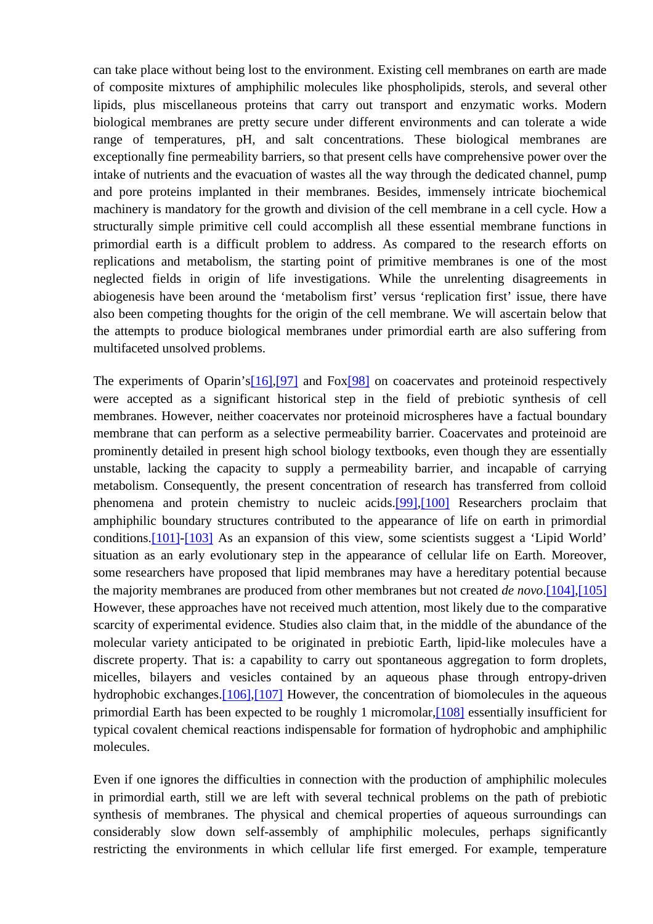can take place without being lost to the environment. Existing cell membranes on earth are made of composite mixtures of amphiphilic molecules like phospholipids, sterols, and several other lipids, plus miscellaneous proteins that carry out transport and enzymatic works. Modern biological membranes are pretty secure under different environments and can tolerate a wide range of temperatures, pH, and salt concentrations. These biological membranes are exceptionally fine permeability barriers, so that present cells have comprehensive power over the intake of nutrients and the evacuation of wastes all the way through the dedicated channel, pump and pore proteins implanted in their membranes. Besides, immensely intricate biochemical machinery is mandatory for the growth and division of the cell membrane in a cell cycle. How a structurally simple primitive cell could accomplish all these essential membrane functions in primordial earth is a difficult problem to address. As compared to the research efforts on replications and metabolism, the starting point of primitive membranes is one of the most neglected fields in origin of life investigations. While the unrelenting disagreements in abiogenesis have been around the 'metabolism first' versus 'replication first' issue, there have also been competing thoughts for the origin of the cell membrane. We will ascertain below that the attempts to produce biological membranes under primordial earth are also suffering from multifaceted unsolved problems.

The experiments of Oparin's<sup>[16]</sup>,<sup>[97]</sup> and Fox<sup>[98]</sup> on coacervates and proteinoid respectively were accepted as a significant historical step in the field of prebiotic synthesis of cell membranes. However, neither coacervates nor proteinoid microspheres have a factual boundary membrane that can perform as a selective permeability barrier. Coacervates and proteinoid are prominently detailed in present high school biology textbooks, even though they are essentially unstable, lacking the capacity to supply a permeability barrier, and incapable of carrying metabolism. Consequently, the present concentration of research has transferred from colloid phenomena and protein chemistry to nucleic acids.[\[99\],\[100\]](http://scienceandscientist.org/biology/) Researchers proclaim that amphiphilic boundary structures contributed to the appearance of life on earth in primordial conditions[.\[101\]-\[103\]](http://scienceandscientist.org/biology/) As an expansion of this view, some scientists suggest a 'Lipid World' situation as an early evolutionary step in the appearance of cellular life on Earth. Moreover, some researchers have proposed that lipid membranes may have a hereditary potential because the majority membranes are produced from other membranes but not created *de novo*.[\[104\],\[105\]](http://scienceandscientist.org/biology/) However, these approaches have not received much attention, most likely due to the comparative scarcity of experimental evidence. Studies also claim that, in the middle of the abundance of the molecular variety anticipated to be originated in prebiotic Earth, lipid-like molecules have a discrete property. That is: a capability to carry out spontaneous aggregation to form droplets, micelles, bilayers and vesicles contained by an aqueous phase through entropy-driven hydrophobic exchanges.<sup>[106]</sup>,<sup>[107]</sup> However, the concentration of biomolecules in the aqueous primordial Earth has been expected to be roughly 1 micromolar[,\[108\]](http://scienceandscientist.org/biology/) essentially insufficient for typical covalent chemical reactions indispensable for formation of hydrophobic and amphiphilic molecules.

Even if one ignores the difficulties in connection with the production of amphiphilic molecules in primordial earth, still we are left with several technical problems on the path of prebiotic synthesis of membranes. The physical and chemical properties of aqueous surroundings can considerably slow down self-assembly of amphiphilic molecules, perhaps significantly restricting the environments in which cellular life first emerged. For example, temperature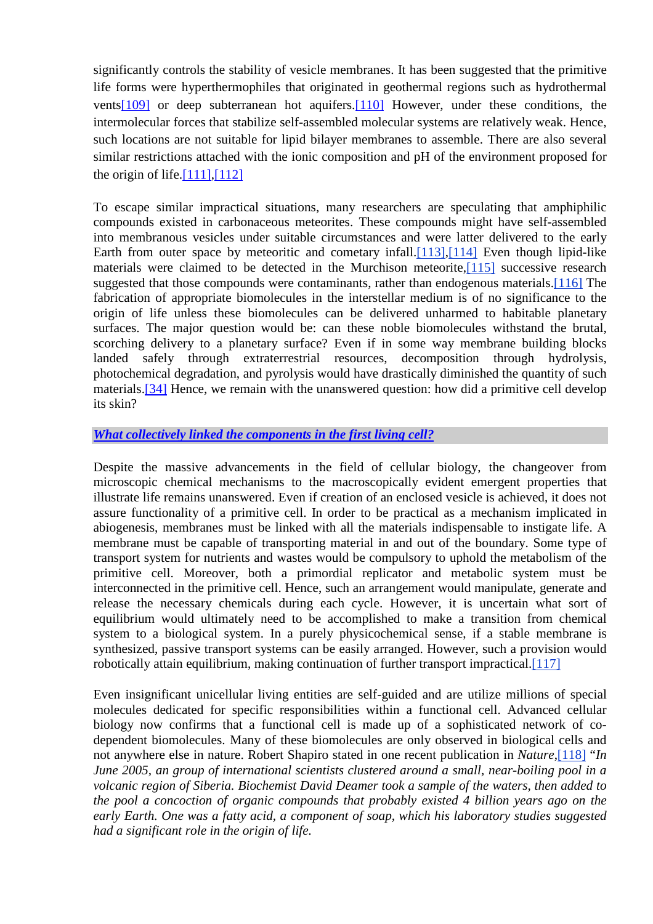significantly controls the stability of vesicle membranes. It has been suggested that the primitive life forms were hyperthermophiles that originated in geothermal regions such as hydrothermal vent[s\[109\]](http://scienceandscientist.org/biology/) or deep subterranean hot aquifers.[\[110\]](http://scienceandscientist.org/biology/) However, under these conditions, the intermolecular forces that stabilize self-assembled molecular systems are relatively weak. Hence, such locations are not suitable for lipid bilayer membranes to assemble. There are also several similar restrictions attached with the ionic composition and pH of the environment proposed for the origin of life. $[111]$ , $[112]$ 

To escape similar impractical situations, many researchers are speculating that amphiphilic compounds existed in carbonaceous meteorites. These compounds might have self-assembled into membranous vesicles under suitable circumstances and were latter delivered to the early Earth from outer space by meteoritic and cometary infall.[\[113\],\[114\]](http://scienceandscientist.org/biology/) Even though lipid-like materials were claimed to be detected in the Murchison meteorite,[\[115\]](http://scienceandscientist.org/biology/) successive research suggested that those compounds were contaminants, rather than endogenous materials.<sup>[\[116\]](http://scienceandscientist.org/biology/)</sup> The fabrication of appropriate biomolecules in the interstellar medium is of no significance to the origin of life unless these biomolecules can be delivered unharmed to habitable planetary surfaces. The major question would be: can these noble biomolecules withstand the brutal, scorching delivery to a planetary surface? Even if in some way membrane building blocks landed safely through extraterrestrial resources, decomposition through hydrolysis, photochemical degradation, and pyrolysis would have drastically diminished the quantity of such materials.[\[34\]](http://scienceandscientist.org/biology/biology.html) Hence, we remain with the unanswered question: how did a primitive cell develop its skin?

## *[What collectively linked the components in the first living cell?](http://scienceandscientist.org/biology/)*

Despite the massive advancements in the field of cellular biology, the changeover from microscopic chemical mechanisms to the macroscopically evident emergent properties that illustrate life remains unanswered. Even if creation of an enclosed vesicle is achieved, it does not assure functionality of a primitive cell. In order to be practical as a mechanism implicated in abiogenesis, membranes must be linked with all the materials indispensable to instigate life. A membrane must be capable of transporting material in and out of the boundary. Some type of transport system for nutrients and wastes would be compulsory to uphold the metabolism of the primitive cell. Moreover, both a primordial replicator and metabolic system must be interconnected in the primitive cell. Hence, such an arrangement would manipulate, generate and release the necessary chemicals during each cycle. However, it is uncertain what sort of equilibrium would ultimately need to be accomplished to make a transition from chemical system to a biological system. In a purely physicochemical sense, if a stable membrane is synthesized, passive transport systems can be easily arranged. However, such a provision would robotically attain equilibrium, making continuation of further transport impractical.[[117\]](http://scienceandscientist.org/biology/)

Even insignificant unicellular living entities are self-guided and are utilize millions of special molecules dedicated for specific responsibilities within a functional cell. Advanced cellular biology now confirms that a functional cell is made up of a sophisticated network of codependent biomolecules. Many of these biomolecules are only observed in biological cells and not anywhere else in nature. Robert Shapiro stated in one recent publication in *Nature*[,\[118\]](http://scienceandscientist.org/biology/) "*In June 2005, an group of international scientists clustered around a small, near-boiling pool in a volcanic region of Siberia. Biochemist David Deamer took a sample of the waters, then added to the pool a concoction of organic compounds that probably existed 4 billion years ago on the early Earth. One was a fatty acid, a component of soap, which his laboratory studies suggested had a significant role in the origin of life.*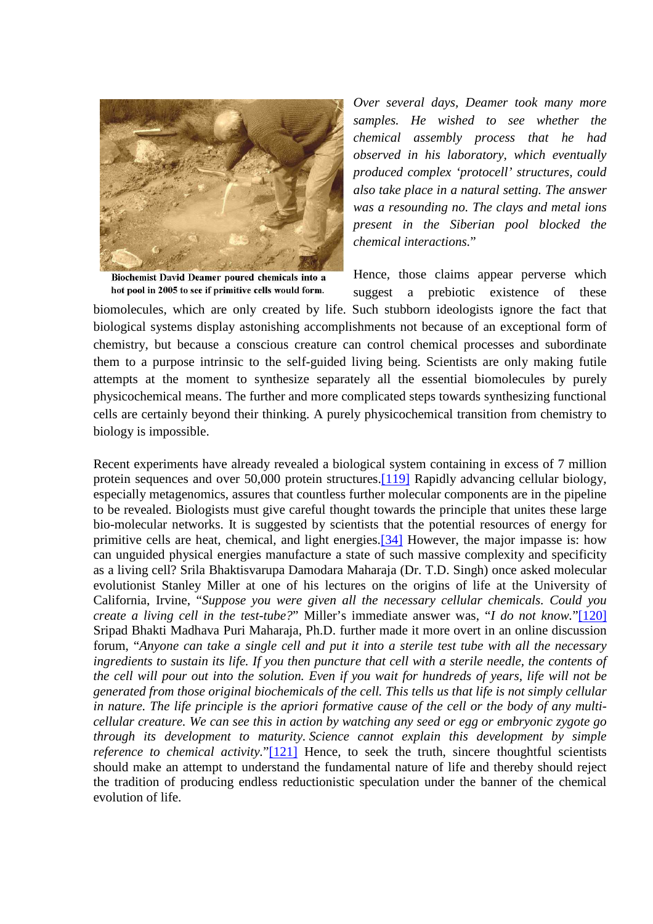

Biochemist David Deamer poured chemicals into a hot pool in 2005 to see if primitive cells would form.

*Over several days, Deamer took many more samples. He wished to see whether the chemical assembly process that he had observed in his laboratory, which eventually produced complex 'protocell' structures, could also take place in a natural setting. The answer was a resounding no. The clays and metal ions present in the Siberian pool blocked the chemical interactions.*"

Hence, those claims appear perverse which suggest a prebiotic existence of these

biomolecules, which are only created by life. Such stubborn ideologists ignore the fact that biological systems display astonishing accomplishments not because of an exceptional form of chemistry, but because a conscious creature can control chemical processes and subordinate them to a purpose intrinsic to the self-guided living being. Scientists are only making futile attempts at the moment to synthesize separately all the essential biomolecules by purely physicochemical means. The further and more complicated steps towards synthesizing functional cells are certainly beyond their thinking. A purely physicochemical transition from chemistry to biology is impossible.

Recent experiments have already revealed a biological system containing in excess of 7 million protein sequences and over 50,000 protein structures.[\[119\]](http://scienceandscientist.org/biology/) Rapidly advancing cellular biology, especially metagenomics, assures that countless further molecular components are in the pipeline to be revealed. Biologists must give careful thought towards the principle that unites these large bio-molecular networks. It is suggested by scientists that the potential resources of energy for primitive cells are heat, chemical, and light energies.[\[34\]](http://scienceandscientist.org/biology/biology.html) However, the major impasse is: how can unguided physical energies manufacture a state of such massive complexity and specificity as a living cell? Srila Bhaktisvarupa Damodara Maharaja (Dr. T.D. Singh) once asked molecular evolutionist Stanley Miller at one of his lectures on the origins of life at the University of California, Irvine, "*Suppose you were given all the necessary cellular chemicals. Could you create a living cell in the test-tube?*" Miller's immediate answer was, "*I do not know.*"[\[120\]](http://scienceandscientist.org/biology/) Sripad Bhakti Madhava Puri Maharaja, Ph.D. further made it more overt in an online discussion forum, "*Anyone can take a single cell and put it into a sterile test tube with all the necessary ingredients to sustain its life. If you then puncture that cell with a sterile needle, the contents of the cell will pour out into the solution. Even if you wait for hundreds of years, life will not be generated from those original biochemicals of the cell. This tells us that life is not simply cellular in nature. The life principle is the apriori formative cause of the cell or the body of any multicellular creature. We can see this in action by watching any seed or egg or embryonic zygote go through its development to maturity. Science cannot explain this development by simple reference to chemical activity.*"[\[121\]](http://scienceandscientist.org/biology/) Hence, to seek the truth, sincere thoughtful scientists should make an attempt to understand the fundamental nature of life and thereby should reject the tradition of producing endless reductionistic speculation under the banner of the chemical evolution of life.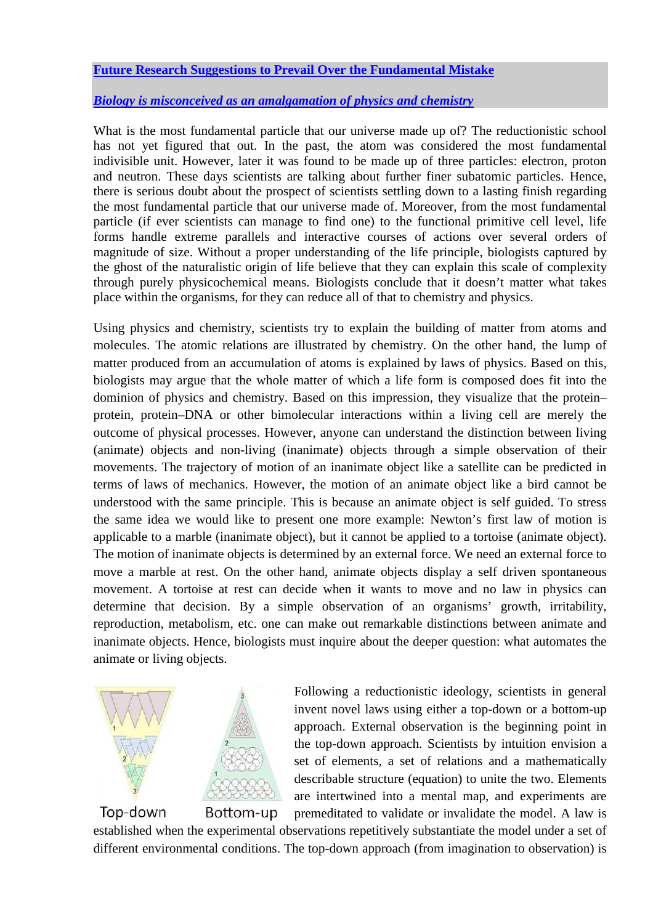# **[Future Research Suggestions to Prevail Over the Fundamental Mistake](http://scienceandscientist.org/biology/)**

## *[Biology is misconceived as an amalgamation of physics and chemistry](http://scienceandscientist.org/biology/)*

What is the most fundamental particle that our universe made up of? The reductionistic school has not yet figured that out. In the past, the atom was considered the most fundamental indivisible unit. However, later it was found to be made up of three particles: electron, proton and neutron. These days scientists are talking about further finer subatomic particles. Hence, there is serious doubt about the prospect of scientists settling down to a lasting finish regarding the most fundamental particle that our universe made of. Moreover, from the most fundamental particle (if ever scientists can manage to find one) to the functional primitive cell level, life forms handle extreme parallels and interactive courses of actions over several orders of magnitude of size. Without a proper understanding of the life principle, biologists captured by the ghost of the naturalistic origin of life believe that they can explain this scale of complexity through purely physicochemical means. Biologists conclude that it doesn't matter what takes place within the organisms, for they can reduce all of that to chemistry and physics.

Using physics and chemistry, scientists try to explain the building of matter from atoms and molecules. The atomic relations are illustrated by chemistry. On the other hand, the lump of matter produced from an accumulation of atoms is explained by laws of physics. Based on this, biologists may argue that the whole matter of which a life form is composed does fit into the dominion of physics and chemistry. Based on this impression, they visualize that the protein– protein, protein–DNA or other bimolecular interactions within a living cell are merely the outcome of physical processes. However, anyone can understand the distinction between living (animate) objects and non-living (inanimate) objects through a simple observation of their movements. The trajectory of motion of an inanimate object like a satellite can be predicted in terms of laws of mechanics. However, the motion of an animate object like a bird cannot be understood with the same principle. This is because an animate object is self guided. To stress the same idea we would like to present one more example: Newton's first law of motion is applicable to a marble (inanimate object), but it cannot be applied to a tortoise (animate object). The motion of inanimate objects is determined by an external force. We need an external force to move a marble at rest. On the other hand, animate objects display a self driven spontaneous movement. A tortoise at rest can decide when it wants to move and no law in physics can determine that decision. By a simple observation of an organisms' growth, irritability, reproduction, metabolism, etc. one can make out remarkable distinctions between animate and inanimate objects. Hence, biologists must inquire about the deeper question: what automates the animate or living objects.



Following a reductionistic ideology, scientists in general invent novel laws using either a top-down or a bottom-up approach. External observation is the beginning point in the top-down approach. Scientists by intuition envision a set of elements, a set of relations and a mathematically describable structure (equation) to unite the two. Elements are intertwined into a mental map, and experiments are premeditated to validate or invalidate the model. A law is

established when the experimental observations repetitively substantiate the model under a set of different environmental conditions. The top-down approach (from imagination to observation) is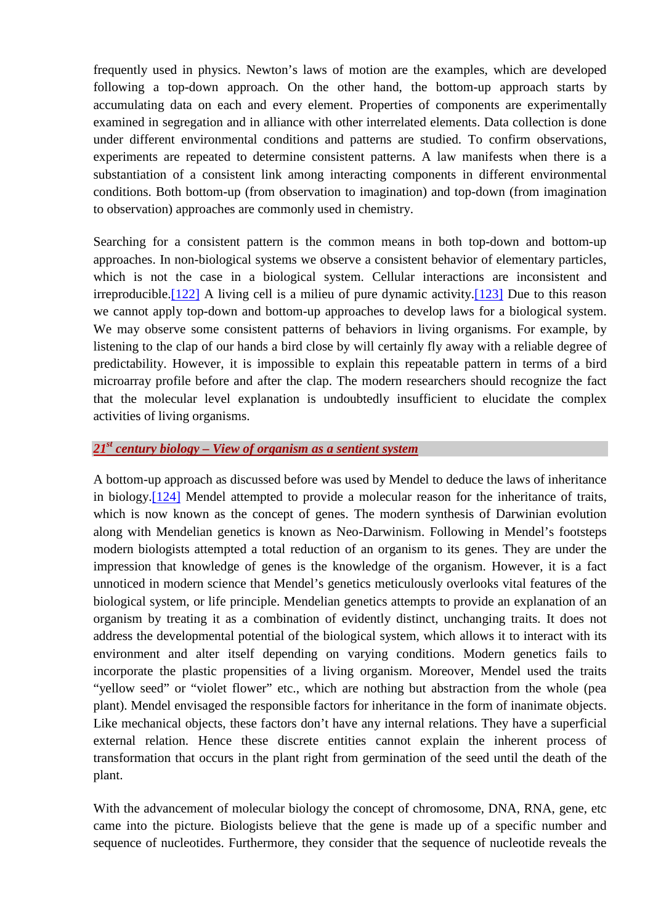frequently used in physics. Newton's laws of motion are the examples, which are developed following a top-down approach. On the other hand, the bottom-up approach starts by accumulating data on each and every element. Properties of components are experimentally examined in segregation and in alliance with other interrelated elements. Data collection is done under different environmental conditions and patterns are studied. To confirm observations, experiments are repeated to determine consistent patterns. A law manifests when there is a substantiation of a consistent link among interacting components in different environmental conditions. Both bottom-up (from observation to imagination) and top-down (from imagination to observation) approaches are commonly used in chemistry.

Searching for a consistent pattern is the common means in both top-down and bottom-up approaches. In non-biological systems we observe a consistent behavior of elementary particles, which is not the case in a biological system. Cellular interactions are inconsistent and irreproducible.[\[122\]](http://scienceandscientist.org/biology/) A living cell is a milieu of pure dynamic activity.[\[123\]](http://scienceandscientist.org/biology/) Due to this reason we cannot apply top-down and bottom-up approaches to develop laws for a biological system. We may observe some consistent patterns of behaviors in living organisms. For example, by listening to the clap of our hands a bird close by will certainly fly away with a reliable degree of predictability. However, it is impossible to explain this repeatable pattern in terms of a bird microarray profile before and after the clap. The modern researchers should recognize the fact that the molecular level explanation is undoubtedly insufficient to elucidate the complex activities of living organisms.

## *[21](http://scienceandscientist.org/biology/)st [century biology – View of organism as a sentient system](http://scienceandscientist.org/biology/)*

A bottom-up approach as discussed before was used by Mendel to deduce the laws of inheritance in biology.[\[124\]](http://scienceandscientist.org/biology/) Mendel attempted to provide a molecular reason for the inheritance of traits, which is now known as the concept of genes. The modern synthesis of Darwinian evolution along with Mendelian genetics is known as Neo-Darwinism. Following in Mendel's footsteps modern biologists attempted a total reduction of an organism to its genes. They are under the impression that knowledge of genes is the knowledge of the organism. However, it is a fact unnoticed in modern science that Mendel's genetics meticulously overlooks vital features of the biological system, or life principle. Mendelian genetics attempts to provide an explanation of an organism by treating it as a combination of evidently distinct, unchanging traits. It does not address the developmental potential of the biological system, which allows it to interact with its environment and alter itself depending on varying conditions. Modern genetics fails to incorporate the plastic propensities of a living organism. Moreover, Mendel used the traits "yellow seed" or "violet flower" etc., which are nothing but abstraction from the whole (pea plant). Mendel envisaged the responsible factors for inheritance in the form of inanimate objects. Like mechanical objects, these factors don't have any internal relations. They have a superficial external relation. Hence these discrete entities cannot explain the inherent process of transformation that occurs in the plant right from germination of the seed until the death of the plant.

With the advancement of molecular biology the concept of chromosome, DNA, RNA, gene, etc came into the picture. Biologists believe that the gene is made up of a specific number and sequence of nucleotides. Furthermore, they consider that the sequence of nucleotide reveals the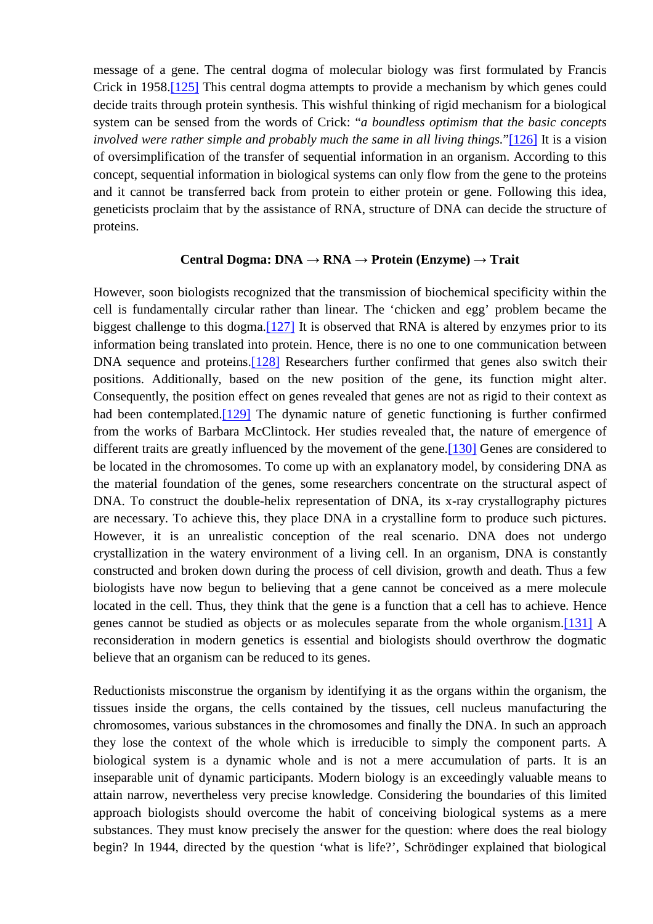message of a gene. The central dogma of molecular biology was first formulated by Francis Crick in 1958.[\[125\]](http://scienceandscientist.org/biology/) This central dogma attempts to provide a mechanism by which genes could decide traits through protein synthesis. This wishful thinking of rigid mechanism for a biological system can be sensed from the words of Crick: "*a boundless optimism that the basic concepts involved were rather simple and probably much the same in all living things.*"[\[126\]](http://scienceandscientist.org/biology/) It is a vision of oversimplification of the transfer of sequential information in an organism. According to this concept, sequential information in biological systems can only flow from the gene to the proteins and it cannot be transferred back from protein to either protein or gene. Following this idea, geneticists proclaim that by the assistance of RNA, structure of DNA can decide the structure of proteins.

## **Central Dogma: DNA → RNA → Protein (Enzyme) → Trait**

However, soon biologists recognized that the transmission of biochemical specificity within the cell is fundamentally circular rather than linear. The 'chicken and egg' problem became the biggest challenge to this dogma.<sup>[127]</sup> It is observed that RNA is altered by enzymes prior to its information being translated into protein. Hence, there is no one to one communication between DNA sequence and proteins.<sup>[128]</sup> Researchers further confirmed that genes also switch their positions. Additionally, based on the new position of the gene, its function might alter. Consequently, the position effect on genes revealed that genes are not as rigid to their context as had been contemplated.<sup>[129]</sup> The dynamic nature of genetic functioning is further confirmed from the works of Barbara McClintock. Her studies revealed that, the nature of emergence of different traits are greatly influenced by the movement of the gene.<sup>[130]</sup> Genes are considered to be located in the chromosomes. To come up with an explanatory model, by considering DNA as the material foundation of the genes, some researchers concentrate on the structural aspect of DNA. To construct the double-helix representation of DNA, its x-ray crystallography pictures are necessary. To achieve this, they place DNA in a crystalline form to produce such pictures. However, it is an unrealistic conception of the real scenario. DNA does not undergo crystallization in the watery environment of a living cell. In an organism, DNA is constantly constructed and broken down during the process of cell division, growth and death. Thus a few biologists have now begun to believing that a gene cannot be conceived as a mere molecule located in the cell. Thus, they think that the gene is a function that a cell has to achieve. Hence genes cannot be studied as objects or as molecules separate from the whole organism.[\[131\]](http://scienceandscientist.org/biology/) A reconsideration in modern genetics is essential and biologists should overthrow the dogmatic believe that an organism can be reduced to its genes.

Reductionists misconstrue the organism by identifying it as the organs within the organism, the tissues inside the organs, the cells contained by the tissues, cell nucleus manufacturing the chromosomes, various substances in the chromosomes and finally the DNA. In such an approach they lose the context of the whole which is irreducible to simply the component parts. A biological system is a dynamic whole and is not a mere accumulation of parts. It is an inseparable unit of dynamic participants. Modern biology is an exceedingly valuable means to attain narrow, nevertheless very precise knowledge. Considering the boundaries of this limited approach biologists should overcome the habit of conceiving biological systems as a mere substances. They must know precisely the answer for the question: where does the real biology begin? In 1944, directed by the question 'what is life?', Schrödinger explained that biological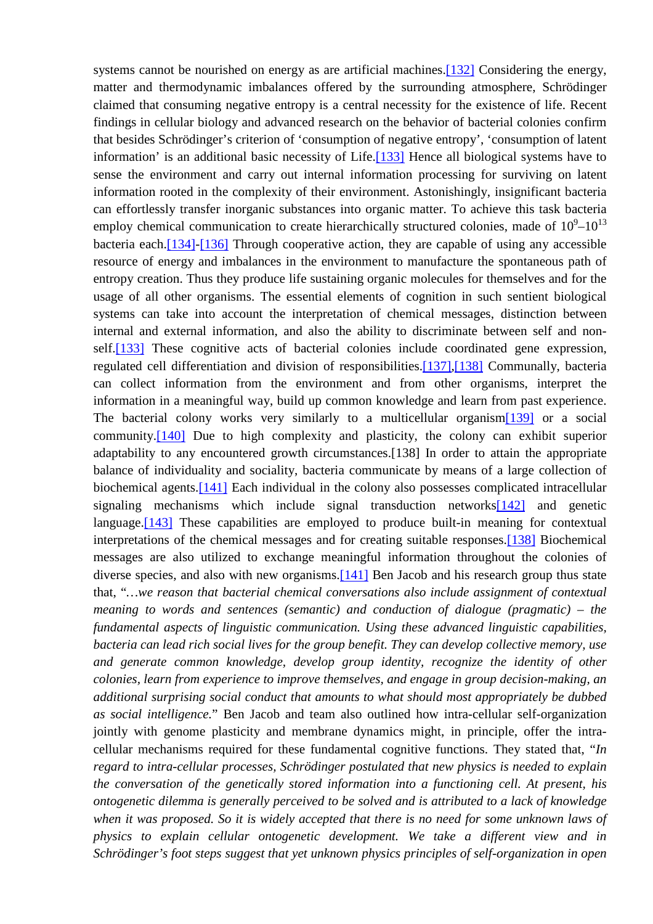systems cannot be nourished on energy as are artificial machines. [\[132\]](http://scienceandscientist.org/biology/) Considering the energy, matter and thermodynamic imbalances offered by the surrounding atmosphere, Schrödinger claimed that consuming negative entropy is a central necessity for the existence of life. Recent findings in cellular biology and advanced research on the behavior of bacterial colonies confirm that besides Schrödinger's criterion of 'consumption of negative entropy', 'consumption of latent information' is an additional basic necessity of Life.[\[133\]](http://scienceandscientist.org/biology/) Hence all biological systems have to sense the environment and carry out internal information processing for surviving on latent information rooted in the complexity of their environment. Astonishingly, insignificant bacteria can effortlessly transfer inorganic substances into organic matter. To achieve this task bacteria employ chemical communication to create hierarchically structured colonies, made of  $10^9$ – $10^{13}$ bacteria each.[\[134\]-\[136\]](http://scienceandscientist.org/biology/) Through cooperative action, they are capable of using any accessible resource of energy and imbalances in the environment to manufacture the spontaneous path of entropy creation. Thus they produce life sustaining organic molecules for themselves and for the usage of all other organisms. The essential elements of cognition in such sentient biological systems can take into account the interpretation of chemical messages, distinction between internal and external information, and also the ability to discriminate between self and nonself.<sup>[133]</sup> These cognitive acts of bacterial colonies include coordinated gene expression, regulated cell differentiation and division of responsibilities.[\[137\],\[138\]](http://scienceandscientist.org/biology/) Communally, bacteria can collect information from the environment and from other organisms, interpret the information in a meaningful way, build up common knowledge and learn from past experience. The bacterial colony works very similarly to a multicellular organism[\[139\]](http://scienceandscientist.org/biology/) or a social community.[\[140\]](http://scienceandscientist.org/biology/) Due to high complexity and plasticity, the colony can exhibit superior adaptability to any encountered growth circumstances.[138] In order to attain the appropriate balance of individuality and sociality, bacteria communicate by means of a large collection of biochemical agents.[\[141\]](http://scienceandscientist.org/biology/) Each individual in the colony also possesses complicated intracellular signaling mechanisms which include signal transduction networks $[142]$  and genetic language.<sup>[143]</sup> These capabilities are employed to produce built-in meaning for contextual interpretations of the chemical messages and for creating suitable responses.[\[138\]](http://scienceandscientist.org/biology/biology.html) Biochemical messages are also utilized to exchange meaningful information throughout the colonies of diverse species, and also with new organisms.[\[141\]](http://scienceandscientist.org/biology/biology.html) Ben Jacob and his research group thus state that, "*…we reason that bacterial chemical conversations also include assignment of contextual meaning to words and sentences (semantic) and conduction of dialogue (pragmatic) – the fundamental aspects of linguistic communication. Using these advanced linguistic capabilities, bacteria can lead rich social lives for the group benefit. They can develop collective memory, use and generate common knowledge, develop group identity, recognize the identity of other colonies, learn from experience to improve themselves, and engage in group decision-making, an additional surprising social conduct that amounts to what should most appropriately be dubbed as social intelligence.*" Ben Jacob and team also outlined how intra-cellular self-organization jointly with genome plasticity and membrane dynamics might, in principle, offer the intracellular mechanisms required for these fundamental cognitive functions. They stated that, "*In regard to intra-cellular processes, Schrödinger postulated that new physics is needed to explain the conversation of the genetically stored information into a functioning cell. At present, his ontogenetic dilemma is generally perceived to be solved and is attributed to a lack of knowledge*  when it was proposed. So it is widely accepted that there is no need for some unknown laws of *physics to explain cellular ontogenetic development. We take a different view and in Schrödinger's foot steps suggest that yet unknown physics principles of self-organization in open*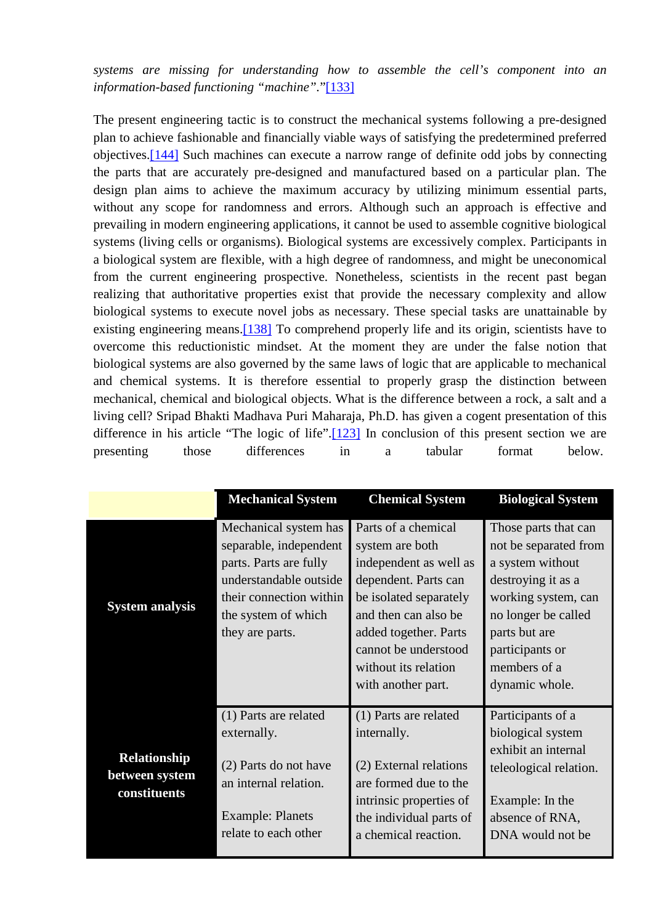*systems are missing for understanding how to assemble the cell's component into an information-based functioning "machine".*"[\[133\]](http://scienceandscientist.org/biology/biology.html)

The present engineering tactic is to construct the mechanical systems following a pre-designed plan to achieve fashionable and financially viable ways of satisfying the predetermined preferred objectives.[\[144\]](http://scienceandscientist.org/biology/) Such machines can execute a narrow range of definite odd jobs by connecting the parts that are accurately pre-designed and manufactured based on a particular plan. The design plan aims to achieve the maximum accuracy by utilizing minimum essential parts, without any scope for randomness and errors. Although such an approach is effective and prevailing in modern engineering applications, it cannot be used to assemble cognitive biological systems (living cells or organisms). Biological systems are excessively complex. Participants in a biological system are flexible, with a high degree of randomness, and might be uneconomical from the current engineering prospective. Nonetheless, scientists in the recent past began realizing that authoritative properties exist that provide the necessary complexity and allow biological systems to execute novel jobs as necessary. These special tasks are unattainable by existing engineering means.<sup>[138]</sup> To comprehend properly life and its origin, scientists have to overcome this reductionistic mindset. At the moment they are under the false notion that biological systems are also governed by the same laws of logic that are applicable to mechanical and chemical systems. It is therefore essential to properly grasp the distinction between mechanical, chemical and biological objects. What is the difference between a rock, a salt and a living cell? Sripad Bhakti Madhava Puri Maharaja, Ph.D. has given a cogent presentation of this difference in his article "The logic of life".[\[123\]](http://scienceandscientist.org/biology/biology.html) In conclusion of this present section we are presenting those differences in a tabular format below.

|                                                       | <b>Mechanical System</b>                                                                                                                                                 | <b>Chemical System</b>                                                                                                                                                                                                                    | <b>Biological System</b>                                                                                                                                                                                    |
|-------------------------------------------------------|--------------------------------------------------------------------------------------------------------------------------------------------------------------------------|-------------------------------------------------------------------------------------------------------------------------------------------------------------------------------------------------------------------------------------------|-------------------------------------------------------------------------------------------------------------------------------------------------------------------------------------------------------------|
| <b>System analysis</b>                                | Mechanical system has<br>separable, independent<br>parts. Parts are fully<br>understandable outside<br>their connection within<br>the system of which<br>they are parts. | Parts of a chemical<br>system are both<br>independent as well as<br>dependent. Parts can<br>be isolated separately<br>and then can also be<br>added together. Parts<br>cannot be understood<br>without its relation<br>with another part. | Those parts that can<br>not be separated from<br>a system without<br>destroying it as a<br>working system, can<br>no longer be called<br>parts but are<br>participants or<br>members of a<br>dynamic whole. |
| <b>Relationship</b><br>between system<br>constituents | (1) Parts are related<br>externally.<br>(2) Parts do not have<br>an internal relation.<br><b>Example: Planets</b><br>relate to each other                                | (1) Parts are related<br>internally.<br>(2) External relations<br>are formed due to the<br>intrinsic properties of<br>the individual parts of<br>a chemical reaction.                                                                     | Participants of a<br>biological system<br>exhibit an internal<br>teleological relation.<br>Example: In the<br>absence of RNA,<br>DNA would not be                                                           |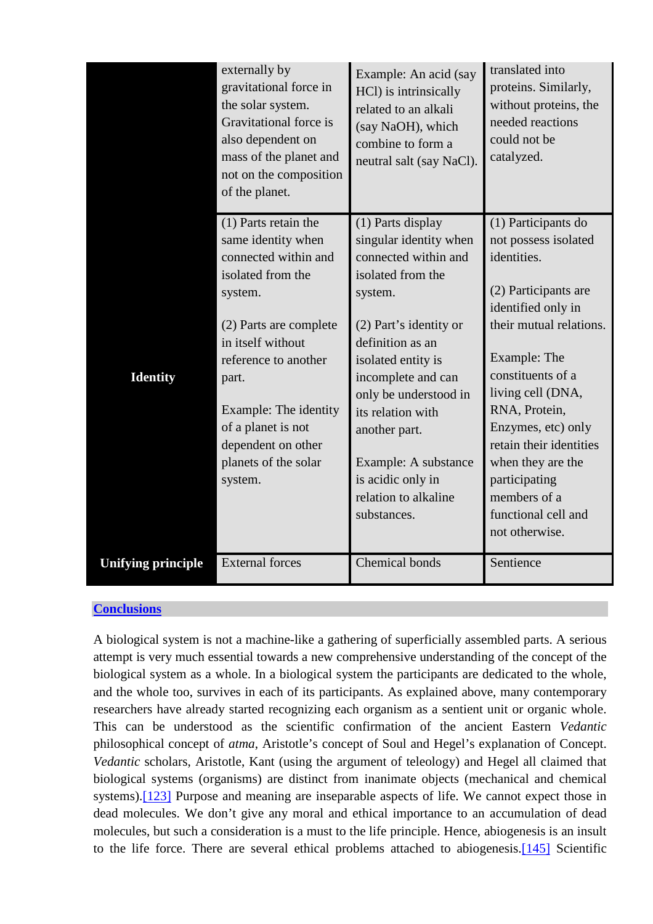|                           | externally by<br>gravitational force in<br>the solar system.<br>Gravitational force is<br>also dependent on<br>mass of the planet and<br>not on the composition<br>of the planet. | Example: An acid (say<br>HCl) is intrinsically<br>related to an alkali<br>(say NaOH), which<br>combine to form a<br>neutral salt (say NaCl). | translated into<br>proteins. Similarly,<br>without proteins, the<br>needed reactions<br>could not be<br>catalyzed. |
|---------------------------|-----------------------------------------------------------------------------------------------------------------------------------------------------------------------------------|----------------------------------------------------------------------------------------------------------------------------------------------|--------------------------------------------------------------------------------------------------------------------|
|                           | $(1)$ Parts retain the<br>same identity when                                                                                                                                      | (1) Parts display<br>singular identity when                                                                                                  | (1) Participants do<br>not possess isolated                                                                        |
|                           | connected within and                                                                                                                                                              | connected within and                                                                                                                         | identities.                                                                                                        |
|                           | isolated from the                                                                                                                                                                 | isolated from the                                                                                                                            |                                                                                                                    |
|                           | system.                                                                                                                                                                           | system.                                                                                                                                      | (2) Participants are                                                                                               |
|                           |                                                                                                                                                                                   |                                                                                                                                              | identified only in                                                                                                 |
|                           | (2) Parts are complete                                                                                                                                                            | (2) Part's identity or                                                                                                                       | their mutual relations.                                                                                            |
|                           | in itself without<br>reference to another                                                                                                                                         | definition as an                                                                                                                             | Example: The                                                                                                       |
| <b>Identity</b>           | part.                                                                                                                                                                             | isolated entity is<br>incomplete and can                                                                                                     | constituents of a                                                                                                  |
|                           |                                                                                                                                                                                   | only be understood in                                                                                                                        | living cell (DNA,                                                                                                  |
|                           | Example: The identity                                                                                                                                                             | its relation with                                                                                                                            | RNA, Protein,                                                                                                      |
|                           | of a planet is not                                                                                                                                                                | another part.                                                                                                                                | Enzymes, etc) only                                                                                                 |
|                           | dependent on other                                                                                                                                                                |                                                                                                                                              | retain their identities                                                                                            |
|                           | planets of the solar                                                                                                                                                              | Example: A substance                                                                                                                         | when they are the                                                                                                  |
|                           | system.                                                                                                                                                                           | is acidic only in                                                                                                                            | participating                                                                                                      |
|                           |                                                                                                                                                                                   | relation to alkaline<br>substances.                                                                                                          | members of a<br>functional cell and                                                                                |
|                           |                                                                                                                                                                                   |                                                                                                                                              | not otherwise.                                                                                                     |
|                           |                                                                                                                                                                                   |                                                                                                                                              |                                                                                                                    |
| <b>Unifying principle</b> | <b>External forces</b>                                                                                                                                                            | <b>Chemical bonds</b>                                                                                                                        | Sentience                                                                                                          |

## **[Conclusions](http://scienceandscientist.org/biology/)**

A biological system is not a machine-like a gathering of superficially assembled parts. A serious attempt is very much essential towards a new comprehensive understanding of the concept of the biological system as a whole. In a biological system the participants are dedicated to the whole, and the whole too, survives in each of its participants. As explained above, many contemporary researchers have already started recognizing each organism as a sentient unit or organic whole. This can be understood as the scientific confirmation of the ancient Eastern *Vedantic* philosophical concept of *atma*, Aristotle's concept of Soul and Hegel's explanation of Concept. *Vedantic* scholars, Aristotle, Kant (using the argument of teleology) and Hegel all claimed that biological systems (organisms) are distinct from inanimate objects (mechanical and chemical systems).<sup>[\[123\]](http://scienceandscientist.org/biology/biology.html)</sup> Purpose and meaning are inseparable aspects of life. We cannot expect those in dead molecules. We don't give any moral and ethical importance to an accumulation of dead molecules, but such a consideration is a must to the life principle. Hence, abiogenesis is an insult to the life force. There are several ethical problems attached to abiogenesis[.\[145\]](http://scienceandscientist.org/biology/) Scientific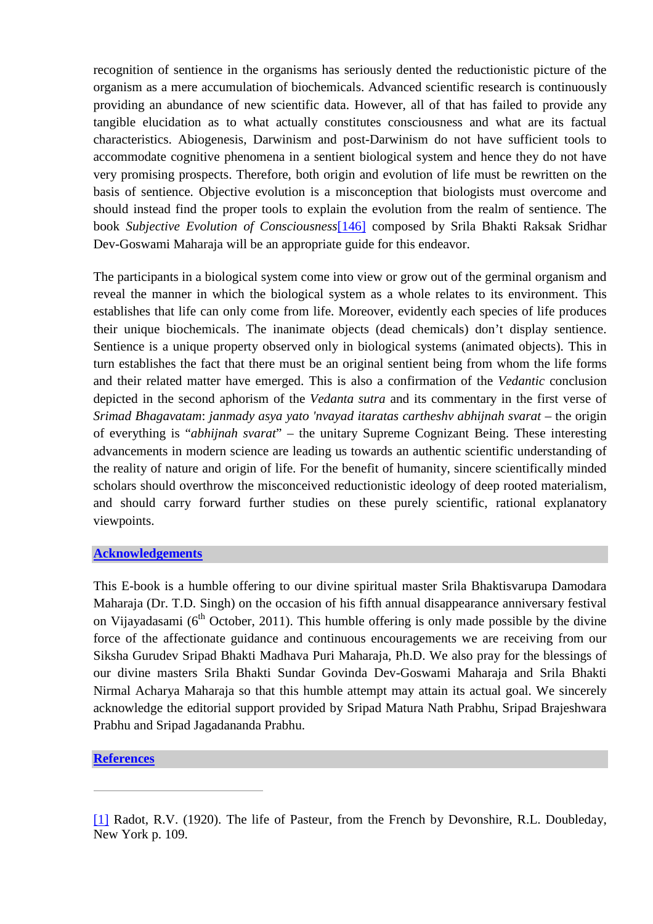recognition of sentience in the organisms has seriously dented the reductionistic picture of the organism as a mere accumulation of biochemicals. Advanced scientific research is continuously providing an abundance of new scientific data. However, all of that has failed to provide any tangible elucidation as to what actually constitutes consciousness and what are its factual characteristics. Abiogenesis, Darwinism and post-Darwinism do not have sufficient tools to accommodate cognitive phenomena in a sentient biological system and hence they do not have very promising prospects. Therefore, both origin and evolution of life must be rewritten on the basis of sentience. Objective evolution is a misconception that biologists must overcome and should instead find the proper tools to explain the evolution from the realm of sentience. The book *Subjective Evolution of Consciousness*[\[146\]](http://scienceandscientist.org/biology/) composed by Srila Bhakti Raksak Sridhar Dev-Goswami Maharaja will be an appropriate guide for this endeavor.

The participants in a biological system come into view or grow out of the germinal organism and reveal the manner in which the biological system as a whole relates to its environment. This establishes that life can only come from life. Moreover, evidently each species of life produces their unique biochemicals. The inanimate objects (dead chemicals) don't display sentience. Sentience is a unique property observed only in biological systems (animated objects). This in turn establishes the fact that there must be an original sentient being from whom the life forms and their related matter have emerged. This is also a confirmation of the *Vedantic* conclusion depicted in the second aphorism of the *Vedanta sutra* and its commentary in the first verse of *Srimad Bhagavatam*: *janmady asya yato 'nvayad itaratas cartheshv abhijnah svarat* – the origin of everything is "*abhijnah svarat*" – the unitary Supreme Cognizant Being. These interesting advancements in modern science are leading us towards an authentic scientific understanding of the reality of nature and origin of life. For the benefit of humanity, sincere scientifically minded scholars should overthrow the misconceived reductionistic ideology of deep rooted materialism, and should carry forward further studies on these purely scientific, rational explanatory viewpoints.

## **[Acknowledgements](http://scienceandscientist.org/biology/)**

This E-book is a humble offering to our divine spiritual master Srila Bhaktisvarupa Damodara Maharaja (Dr. T.D. Singh) on the occasion of his fifth annual disappearance anniversary festival on Vijayadasami ( $6<sup>th</sup>$  October, 2011). This humble offering is only made possible by the divine force of the affectionate guidance and continuous encouragements we are receiving from our Siksha Gurudev Sripad Bhakti Madhava Puri Maharaja, Ph.D. We also pray for the blessings of our divine masters Srila Bhakti Sundar Govinda Dev-Goswami Maharaja and Srila Bhakti Nirmal Acharya Maharaja so that this humble attempt may attain its actual goal. We sincerely acknowledge the editorial support provided by Sripad Matura Nath Prabhu, Sripad Brajeshwara Prabhu and Sripad Jagadananda Prabhu.

## **[References](http://scienceandscientist.org/biology/)**

[<sup>\[1\]</sup>](http://scienceandscientist.org/biology/) Radot, R.V. (1920). The life of Pasteur, from the French by Devonshire, R.L. Doubleday, New York p. 109.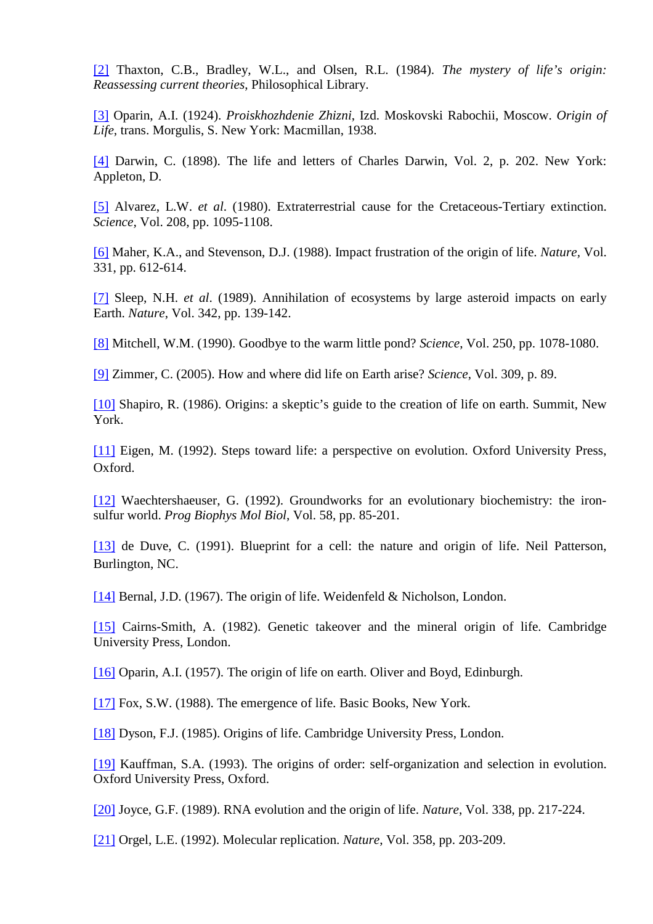[\[2\]](http://scienceandscientist.org/biology/) Thaxton, C.B., Bradley, W.L., and Olsen, R.L. (1984). *The mystery of life's origin: Reassessing current theories*, Philosophical Library.

[\[3\]](http://scienceandscientist.org/biology/) Oparin, A.I. (1924). *Proiskhozhdenie Zhizni*, Izd. Moskovski Rabochii, Moscow. *Origin of Life*, trans. Morgulis, S. New York: Macmillan, 1938.

[\[4\]](http://scienceandscientist.org/biology/) Darwin, C. (1898). The life and letters of Charles Darwin, Vol. 2, p. 202. New York: Appleton, D.

[\[5\]](http://scienceandscientist.org/biology/) Alvarez, L.W. *et al*. (1980). Extraterrestrial cause for the Cretaceous-Tertiary extinction. *Science,* Vol. 208, pp. 1095-1108.

[\[6\]](http://scienceandscientist.org/biology/) Maher, K.A., and Stevenson, D.J. (1988). Impact frustration of the origin of life. *Nature,* Vol. 331, pp. 612-614.

[\[7\]](http://scienceandscientist.org/biology/) Sleep, N.H. *et al*. (1989). Annihilation of ecosystems by large asteroid impacts on early Earth. *Nature*, Vol. 342, pp. 139-142.

[\[8\]](http://scienceandscientist.org/biology/) Mitchell, W.M. (1990). Goodbye to the warm little pond? *Science*, Vol. 250, pp. 1078-1080.

[\[9\]](http://scienceandscientist.org/biology/) Zimmer, C. (2005). How and where did life on Earth arise? *Science*, Vol. 309, p. 89.

[\[10\]](http://scienceandscientist.org/biology/) Shapiro, R. (1986). Origins: a skeptic's guide to the creation of life on earth. Summit, New York.

[\[11\]](http://scienceandscientist.org/biology/) Eigen, M. (1992). Steps toward life: a perspective on evolution. Oxford University Press, Oxford.

[\[12\]](http://scienceandscientist.org/biology/) Waechtershaeuser, G. (1992). Groundworks for an evolutionary biochemistry: the ironsulfur world. *Prog Biophys Mol Biol*, Vol. 58, pp. 85-201.

[\[13\]](http://scienceandscientist.org/biology/) de Duve, C. (1991). Blueprint for a cell: the nature and origin of life. Neil Patterson, Burlington, NC.

[\[14\]](http://scienceandscientist.org/biology/) Bernal, J.D. (1967). The origin of life. Weidenfeld & Nicholson, London.

[\[15\]](http://scienceandscientist.org/biology/) Cairns-Smith, A. (1982). Genetic takeover and the mineral origin of life. Cambridge University Press, London.

[\[16\]](http://scienceandscientist.org/biology/) Oparin, A.I. (1957). The origin of life on earth. Oliver and Boyd, Edinburgh.

[\[17\]](http://scienceandscientist.org/biology/) Fox, S.W. (1988). The emergence of life. Basic Books, New York.

[\[18\]](http://scienceandscientist.org/biology/) Dyson, F.J. (1985). Origins of life. Cambridge University Press, London.

[\[19\]](http://scienceandscientist.org/biology/) Kauffman, S.A. (1993). The origins of order: self-organization and selection in evolution. Oxford University Press, Oxford.

[\[20\]](http://scienceandscientist.org/biology/) Joyce, G.F. (1989). RNA evolution and the origin of life. *Nature*, Vol. 338, pp. 217-224.

[\[21\]](http://scienceandscientist.org/biology/) Orgel, L.E. (1992). Molecular replication. *Nature*, Vol. 358, pp. 203-209.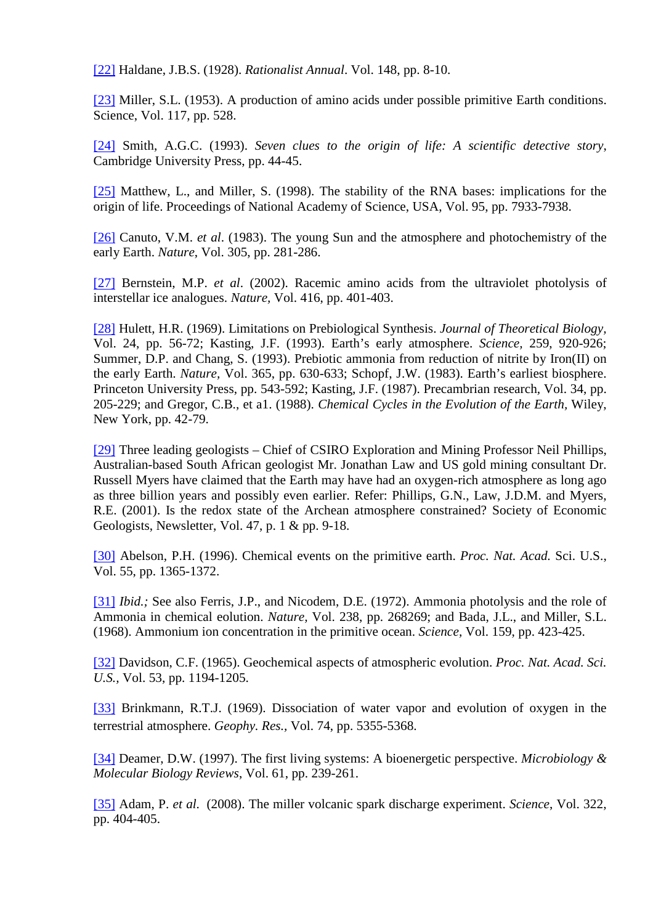[\[22\]](http://scienceandscientist.org/biology/) Haldane, J.B.S. (1928). *Rationalist Annual*. Vol. 148, pp. 8-10.

[\[23\]](http://scienceandscientist.org/biology/) Miller, S.L. (1953). A production of amino acids under possible primitive Earth conditions. Science, Vol. 117, pp. 528.

[\[24\]](http://scienceandscientist.org/biology/) Smith, A.G.C. (1993). *Seven clues to the origin of life: A scientific detective story*, Cambridge University Press, pp. 44-45.

[\[25\]](http://scienceandscientist.org/biology/) Matthew, L., and Miller, S. (1998). The stability of the RNA bases: implications for the origin of life. Proceedings of National Academy of Science, USA, Vol. 95, pp. 7933-7938.

[\[26\]](http://scienceandscientist.org/biology/) Canuto, V.M. *et al*. (1983). The young Sun and the atmosphere and photochemistry of the early Earth. *Nature*, Vol. 305, pp. 281-286.

[\[27\]](http://scienceandscientist.org/biology/) Bernstein, M.P. *et al*. (2002). Racemic amino acids from the ultraviolet photolysis of interstellar ice analogues. *Nature,* Vol. 416, pp. 401-403.

[\[28\]](http://scienceandscientist.org/biology/) Hulett, H.R. (1969). Limitations on Prebiological Synthesis. *Journal of Theoretical Biology,*  Vol. 24, pp. 56-72; Kasting, J.F. (1993). Earth's early atmosphere. *Science,* 259, 920-926; Summer, D.P. and Chang, S. (1993). Prebiotic ammonia from reduction of nitrite by Iron(II) on the early Earth. *Nature,* Vol. 365, pp. 630-633; Schopf, J.W. (1983). Earth's earliest biosphere. Princeton University Press, pp. 543-592; Kasting, J.F. (1987). Precambrian research*,* Vol. 34, pp. 205-229; and Gregor, C.B., et a1. (1988). *Chemical Cycles in the Evolution of the Earth,* Wiley, New York, pp. 42-79.

[\[29\]](http://scienceandscientist.org/biology/) Three leading geologists – Chief of CSIRO Exploration and Mining Professor Neil Phillips, Australian-based South African geologist Mr. Jonathan Law and US gold mining consultant Dr. Russell Myers have claimed that the Earth may have had an oxygen-rich atmosphere as long ago as three billion years and possibly even earlier. Refer: Phillips, G.N., Law, J.D.M. and Myers, R.E. (2001). Is the redox state of the Archean atmosphere constrained? Society of Economic Geologists, Newsletter, Vol. 47, p. 1 & pp. 9-18.

[\[30\]](http://scienceandscientist.org/biology/) Abelson, P.H. (1996). Chemical events on the primitive earth. *Proc. Nat. Acad.* Sci. U.S., Vol. 55, pp. 1365-1372.

[\[31\]](http://scienceandscientist.org/biology/) *Ibid.*; See also Ferris, J.P., and Nicodem, D.E. (1972). Ammonia photolysis and the role of Ammonia in chemical eolution. *Nature,* Vol. 238, pp. 268269; and Bada, J.L., and Miller, S.L. (1968). Ammonium ion concentration in the primitive ocean. *Science,* Vol. 159, pp. 423-425.

[\[32\]](http://scienceandscientist.org/biology/) Davidson, C.F. (1965). Geochemical aspects of atmospheric evolution. *Proc. Nat. Acad. Sci. U.S.,* Vol. 53, pp. 1194-1205.

[\[33\]](http://scienceandscientist.org/biology/) Brinkmann, R.T.J. (1969). Dissociation of water vapor and evolution of oxygen in the terrestrial atmosphere. *Geophy. Res.,* Vol. 74, pp. 5355-5368.

[\[34\]](http://scienceandscientist.org/biology/) Deamer, D.W. (1997). The first living systems: A bioenergetic perspective. *Microbiology & Molecular Biology Reviews*, Vol. 61, pp. 239-261.

[\[35\]](http://scienceandscientist.org/biology/) Adam, P. *et al*. (2008). The miller volcanic spark discharge experiment. *Science*, Vol. 322, pp. 404-405.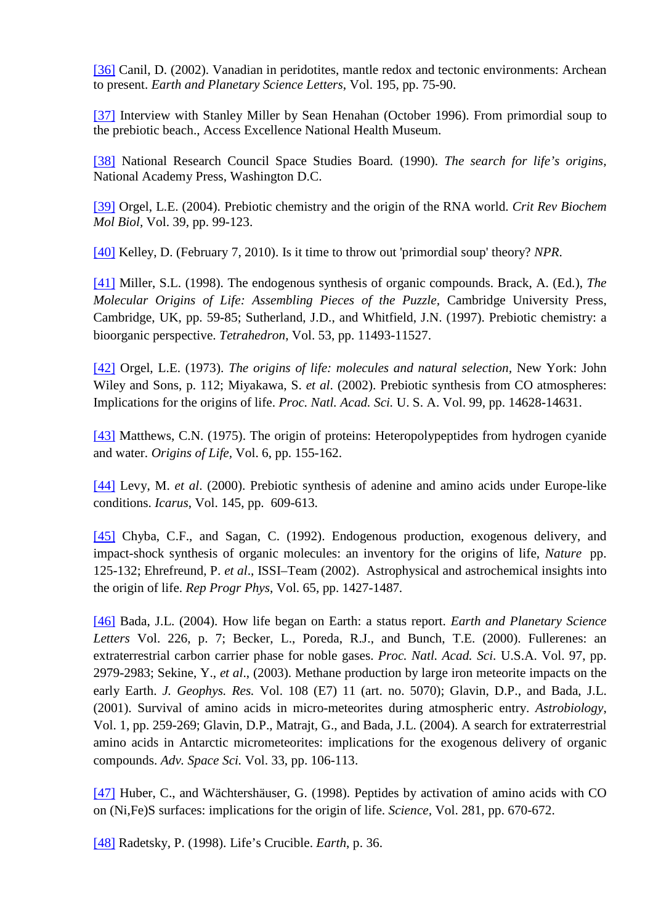[\[36\]](http://scienceandscientist.org/biology/) Canil, D. (2002). Vanadian in peridotites, mantle redox and tectonic environments: Archean to present. *Earth and Planetary Science Letters*, Vol. 195, pp. 75-90.

[\[37\]](http://scienceandscientist.org/biology/) Interview with Stanley Miller by Sean Henahan (October 1996). From primordial soup to the prebiotic beach., Access Excellence National Health Museum.

[\[38\]](http://scienceandscientist.org/biology/) National Research Council Space Studies Board*.* (1990). *The search for life's origins,* National Academy Press, Washington D.C.

[\[39\]](http://scienceandscientist.org/biology/) Orgel, L.E. (2004). Prebiotic chemistry and the origin of the RNA world. *Crit Rev Biochem Mol Biol,* Vol. 39, pp. 99-123.

[\[40\]](http://scienceandscientist.org/biology/) Kelley, D. (February 7, 2010). Is it time to throw out 'primordial soup' theory? *NPR*.

[\[41\]](http://scienceandscientist.org/biology/) Miller, S.L. (1998). The endogenous synthesis of organic compounds. Brack, A. (Ed.), *The Molecular Origins of Life: Assembling Pieces of the Puzzle,* Cambridge University Press, Cambridge, UK, pp. 59-85; Sutherland, J.D., and Whitfield, J.N. (1997). Prebiotic chemistry: a bioorganic perspective. *Tetrahedron*, Vol. 53, pp. 11493-11527.

[\[42\]](http://scienceandscientist.org/biology/) Orgel, L.E. (1973). *The origins of life: molecules and natural selection,* New York: John Wiley and Sons, p. 112; Miyakawa, S. *et al*. (2002). Prebiotic synthesis from CO atmospheres: Implications for the origins of life. *Proc. Natl. Acad. Sci.* U. S. A. Vol. 99, pp. 14628-14631.

[\[43\]](http://scienceandscientist.org/biology/) Matthews, C.N. (1975). The origin of proteins: Heteropolypeptides from hydrogen cyanide and water. *Origins of Life,* Vol. 6, pp. 155-162.

[\[44\]](http://scienceandscientist.org/biology/) Levy, M. *et al*. (2000). Prebiotic synthesis of adenine and amino acids under Europe-like conditions. *Icarus*, Vol. 145, pp. 609-613.

[\[45\]](http://scienceandscientist.org/biology/) Chyba, C.F., and Sagan, C. (1992). Endogenous production, exogenous delivery, and impact-shock synthesis of organic molecules: an inventory for the origins of life, *Nature* pp. 125-132; Ehrefreund, P. *et al*., ISSI–Team (2002). Astrophysical and astrochemical insights into the origin of life. *Rep Progr Phys*, Vol. 65, pp. 1427-1487*.*

[\[46\]](http://scienceandscientist.org/biology/) Bada, J.L. (2004). How life began on Earth: a status report. *Earth and Planetary Science Letters* Vol. 226, p. 7; Becker, L., Poreda, R.J., and Bunch, T.E. (2000). Fullerenes: an extraterrestrial carbon carrier phase for noble gases. *Proc. Natl. Acad. Sci.* U.S.A. Vol. 97, pp. 2979-2983; Sekine, Y., *et al*., (2003). Methane production by large iron meteorite impacts on the early Earth. *J. Geophys. Res.* Vol. 108 (E7) 11 (art. no. 5070); Glavin, D.P., and Bada, J.L. (2001). Survival of amino acids in micro-meteorites during atmospheric entry. *Astrobiology*, Vol. 1, pp. 259-269; Glavin, D.P., Matrajt, G., and Bada, J.L. (2004). A search for extraterrestrial amino acids in Antarctic micrometeorites: implications for the exogenous delivery of organic compounds. *Adv. Space Sci.* Vol. 33, pp. 106-113.

[\[47\]](http://scienceandscientist.org/biology/) Huber, C., and Wächtershäuser, G. (1998). Peptides by activation of amino acids with CO on (Ni,Fe)S surfaces: implications for the origin of life. *Science,* Vol. 281, pp. 670-672.

[\[48\]](http://scienceandscientist.org/biology/) Radetsky, P. (1998). Life's Crucible. *Earth*, p. 36.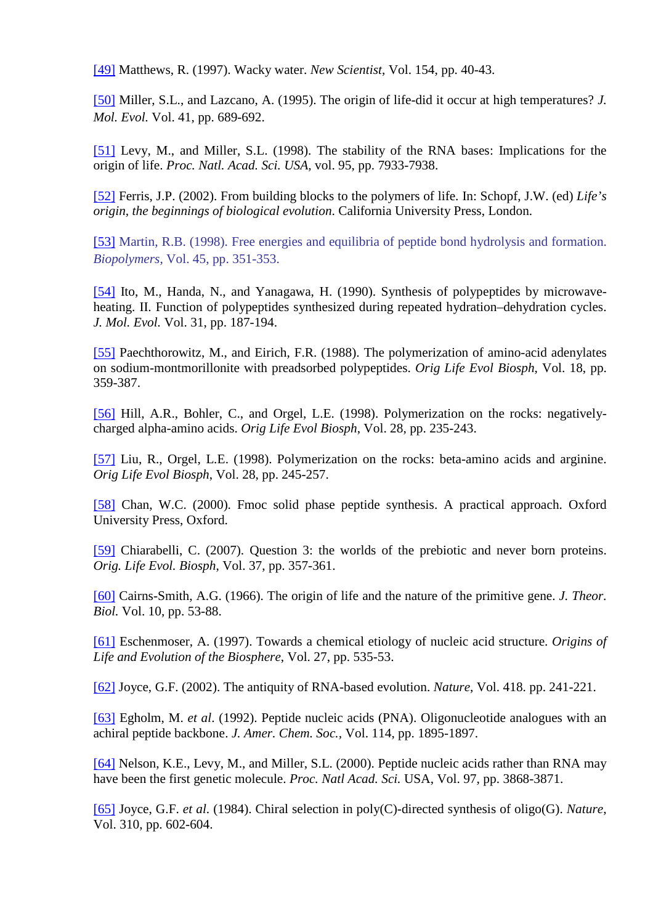[\[49\]](http://scienceandscientist.org/biology/) Matthews, R. (1997). Wacky water. *New Scientist*, Vol. 154, pp. 40-43.

[\[50\]](http://scienceandscientist.org/biology/) Miller, S.L., and Lazcano, A. (1995). The origin of life-did it occur at high temperatures? *J. Mol. Evol.* Vol. 41, pp. 689-692.

[\[51\]](http://scienceandscientist.org/biology/) Levy, M., and Miller, S.L. (1998). The stability of the RNA bases: Implications for the origin of life. *Proc. Natl. Acad. Sci. USA,* vol. 95, pp. 7933-7938.

[\[52\]](http://scienceandscientist.org/biology/) Ferris, J.P. (2002). From building blocks to the polymers of life. In: Schopf, J.W. (ed) *Life's origin, the beginnings of biological evolution*. California University Press, London.

[\[53\]](http://scienceandscientist.org/biology/) Martin, R.B. (1998). Free energies and equilibria of peptide bond hydrolysis and formation. *Biopolymers*, Vol. 45, pp. 351-353.

[\[54\]](http://scienceandscientist.org/biology/) Ito, M., Handa, N., and Yanagawa, H. (1990). Synthesis of polypeptides by microwaveheating. II. Function of polypeptides synthesized during repeated hydration–dehydration cycles. *J. Mol. Evol.* Vol. 31, pp. 187-194.

[\[55\]](http://scienceandscientist.org/biology/) Paechthorowitz, M., and Eirich, F.R. (1988). The polymerization of amino-acid adenylates on sodium-montmorillonite with preadsorbed polypeptides. *Orig Life Evol Biosph*, Vol. 18, pp. 359-387.

[\[56\]](http://scienceandscientist.org/biology/) Hill, A.R., Bohler, C., and Orgel, L.E. (1998). Polymerization on the rocks: negativelycharged alpha-amino acids. *Orig Life Evol Biosph*, Vol. 28, pp. 235-243.

[\[57\]](http://scienceandscientist.org/biology/) Liu, R., Orgel, L.E. (1998). Polymerization on the rocks: beta-amino acids and arginine. *Orig Life Evol Biosph*, Vol. 28, pp. 245-257.

[\[58\]](http://scienceandscientist.org/biology/) Chan, W.C. (2000). Fmoc solid phase peptide synthesis. A practical approach. Oxford University Press, Oxford.

[\[59\]](http://scienceandscientist.org/biology/) Chiarabelli, C. (2007). Question 3: the worlds of the prebiotic and never born proteins. *Orig. Life Evol. Biosph*, Vol. 37, pp. 357-361.

[\[60\]](http://scienceandscientist.org/biology/) Cairns-Smith, A.G. (1966). The origin of life and the nature of the primitive gene. *J. Theor. Biol.* Vol. 10, pp. 53-88.

[\[61\]](http://scienceandscientist.org/biology/) Eschenmoser, A. (1997). Towards a chemical etiology of nucleic acid structure. *Origins of Life and Evolution of the Biosphere*, Vol. 27, pp. 535-53.

[\[62\]](http://scienceandscientist.org/biology/) Joyce, G.F. (2002). The antiquity of RNA-based evolution. *Nature*, Vol. 418. pp. 241-221.

[\[63\]](http://scienceandscientist.org/biology/) Egholm, M. *et al*. (1992). Peptide nucleic acids (PNA). Oligonucleotide analogues with an achiral peptide backbone. *J. Amer. Chem. Soc.,* Vol. 114, pp. 1895-1897.

[\[64\]](http://scienceandscientist.org/biology/) Nelson, K.E., Levy, M., and Miller, S.L. (2000). Peptide nucleic acids rather than RNA may have been the first genetic molecule. *Proc. Natl Acad. Sci.* USA, Vol. 97, pp. 3868-3871.

[\[65\]](http://scienceandscientist.org/biology/) Joyce, G.F. *et al*. (1984). Chiral selection in poly(C)-directed synthesis of oligo(G). *Nature*, Vol. 310, pp. 602-604.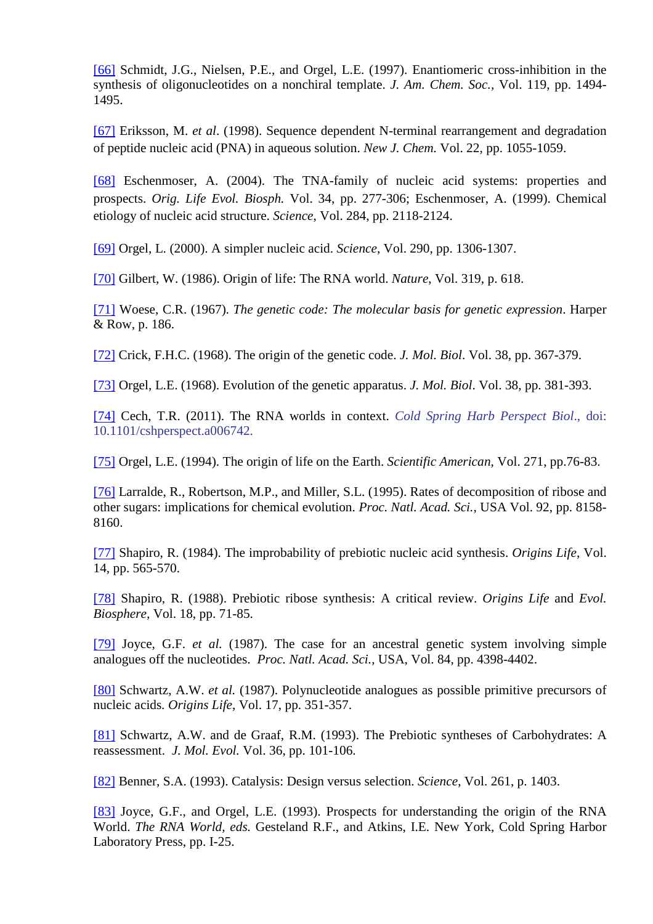[\[66\]](http://scienceandscientist.org/biology/) Schmidt, J.G., Nielsen, P.E., and Orgel, L.E. (1997). Enantiomeric cross-inhibition in the synthesis of oligonucleotides on a nonchiral template. *J. Am. Chem. Soc.,* Vol. 119, pp. 1494- 1495.

[\[67\]](http://scienceandscientist.org/biology/) Eriksson, M. *et al*. (1998). Sequence dependent N-terminal rearrangement and degradation of peptide nucleic acid (PNA) in aqueous solution. *New J. Chem.* Vol. 22, pp. 1055-1059.

[\[68\]](http://scienceandscientist.org/biology/) Eschenmoser, A. (2004). The TNA-family of nucleic acid systems: properties and prospects. *Orig. Life Evol. Biosph.* Vol. 34, pp. 277-306; Eschenmoser, A. (1999). Chemical etiology of nucleic acid structure. *Science*, Vol. 284, pp. 2118-2124.

[\[69\]](http://scienceandscientist.org/biology/) Orgel, L. (2000). A simpler nucleic acid. *Science*, Vol. 290, pp. 1306-1307.

[\[70\]](http://scienceandscientist.org/biology/) Gilbert, W. (1986). Origin of life: The RNA world. *Nature*, Vol. 319, p. 618.

[\[71\]](http://scienceandscientist.org/biology/) Woese, C.R. (1967). *The genetic code: The molecular basis for genetic expression*. Harper & Row, p. 186.

[\[72\]](http://scienceandscientist.org/biology/) Crick, F.H.C. (1968). The origin of the genetic code. *J. Mol. Biol*. Vol. 38, pp. 367-379.

[\[73\]](http://scienceandscientist.org/biology/) Orgel, L.E. (1968). Evolution of the genetic apparatus. *J. Mol. Biol*. Vol. 38, pp. 381-393.

[\[74\]](http://scienceandscientist.org/biology/) Cech, T.R. (2011). The RNA worlds in context. *Cold Spring Harb Perspect Biol*., doi: 10.1101/cshperspect.a006742.

[\[75\]](http://scienceandscientist.org/biology/) Orgel, L.E. (1994). The origin of life on the Earth. *Scientific American*, Vol. 271, pp.76-83.

[\[76\]](http://scienceandscientist.org/biology/) Larralde, R., Robertson, M.P., and Miller, S.L. (1995). Rates of decomposition of ribose and other sugars: implications for chemical evolution. *Proc. Natl. Acad. Sci.,* USA Vol. 92, pp. 8158- 8160.

[\[77\]](http://scienceandscientist.org/biology/) Shapiro, R. (1984). The improbability of prebiotic nucleic acid synthesis. *Origins Life*, Vol. 14, pp. 565-570.

[\[78\]](http://scienceandscientist.org/biology/) Shapiro, R. (1988). Prebiotic ribose synthesis: A critical review. *Origins Life* and *Evol. Biosphere,* Vol. 18, pp. 71-85.

[\[79\]](http://scienceandscientist.org/biology/) Joyce, G.F. *et al.* (1987). The case for an ancestral genetic system involving simple analogues off the nucleotides. *Proc. Natl. Acad. Sci.*, USA, Vol. 84, pp. 4398-4402.

[\[80\]](http://scienceandscientist.org/biology/) Schwartz, A.W. *et al.* (1987). Polynucleotide analogues as possible primitive precursors of nucleic acids*. Origins Life*, Vol. 17, pp. 351-357.

[\[81\]](http://scienceandscientist.org/biology/) Schwartz, A.W. and de Graaf, R.M. (1993). The Prebiotic syntheses of Carbohydrates: A reassessment. *J. Mol. Evol.* Vol. 36, pp. 101-106.

[\[82\]](http://scienceandscientist.org/biology/) Benner, S.A. (1993). Catalysis: Design versus selection. *Science*, Vol. 261, p. 1403.

[\[83\]](http://scienceandscientist.org/biology/) Joyce, G.F., and Orgel, L.E. (1993). Prospects for understanding the origin of the RNA World. *The RNA World, eds.* Gesteland R.F., and Atkins, I.E. New York, Cold Spring Harbor Laboratory Press, pp. I-25.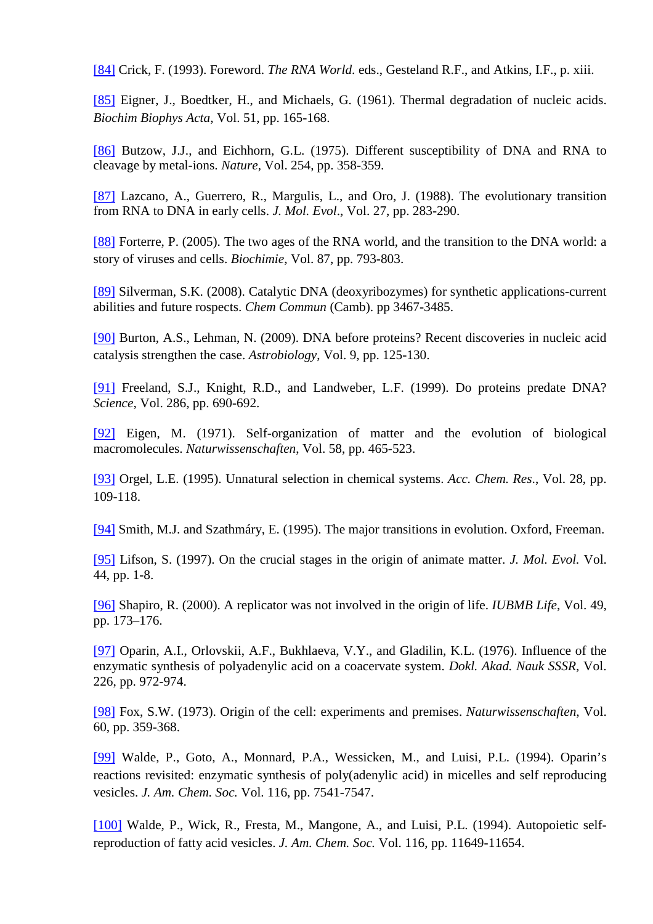[\[84\]](http://scienceandscientist.org/biology/) Crick, F. (1993). Foreword. *The RNA World*. eds., Gesteland R.F., and Atkins, I.F., p. xiii.

[\[85\]](http://scienceandscientist.org/biology/) Eigner, J., Boedtker, H., and Michaels, G. (1961). Thermal degradation of nucleic acids. *Biochim Biophys Acta*, Vol. 51, pp. 165-168.

[\[86\]](http://scienceandscientist.org/biology/) Butzow, J.J., and Eichhorn, G.L. (1975). Different susceptibility of DNA and RNA to cleavage by metal-ions. *Nature*, Vol. 254, pp. 358-359.

[\[87\]](http://scienceandscientist.org/biology/) Lazcano, A., Guerrero, R., Margulis, L., and Oro, J. (1988). The evolutionary transition from RNA to DNA in early cells. *J. Mol. Evol*., Vol. 27, pp. 283-290.

[\[88\]](http://scienceandscientist.org/biology/) Forterre, P. (2005). The two ages of the RNA world, and the transition to the DNA world: a story of viruses and cells. *Biochimie*, Vol. 87, pp. 793-803.

[\[89\]](http://scienceandscientist.org/biology/) Silverman, S.K. (2008). Catalytic DNA (deoxyribozymes) for synthetic applications-current abilities and future rospects. *Chem Commun* (Camb). pp 3467-3485.

[\[90\]](http://scienceandscientist.org/biology/) Burton, A.S., Lehman, N. (2009). DNA before proteins? Recent discoveries in nucleic acid catalysis strengthen the case. *Astrobiology*, Vol. 9, pp. 125-130.

[\[91\]](http://scienceandscientist.org/biology/) Freeland, S.J., Knight, R.D., and Landweber, L.F. (1999). Do proteins predate DNA? *Science*, Vol. 286, pp. 690-692.

[\[92\]](http://scienceandscientist.org/biology/) Eigen, M. (1971). Self-organization of matter and the evolution of biological macromolecules. *Naturwissenschaften*, Vol. 58, pp. 465-523.

[\[93\]](http://scienceandscientist.org/biology/) Orgel, L.E. (1995). Unnatural selection in chemical systems. *Acc. Chem. Res*., Vol. 28, pp. 109-118.

[\[94\]](http://scienceandscientist.org/biology/) Smith, M.J. and Szathmáry, E. (1995). The major transitions in evolution. Oxford, Freeman.

[\[95\]](http://scienceandscientist.org/biology/) Lifson, S. (1997). On the crucial stages in the origin of animate matter. *J. Mol. Evol.* Vol. 44, pp. 1-8.

[\[96\]](http://scienceandscientist.org/biology/) Shapiro, R. (2000). A replicator was not involved in the origin of life. *IUBMB Life*, Vol. 49, pp. 173–176.

[\[97\]](http://scienceandscientist.org/biology/) Oparin, A.I., Orlovskii, A.F., Bukhlaeva, V.Y., and Gladilin, K.L. (1976). Influence of the enzymatic synthesis of polyadenylic acid on a coacervate system. *Dokl. Akad. Nauk SSSR*, Vol. 226, pp. 972-974.

[\[98\]](http://scienceandscientist.org/biology/) Fox, S.W. (1973). Origin of the cell: experiments and premises. *Naturwissenschaften*, Vol. 60, pp. 359-368.

[\[99\]](http://scienceandscientist.org/biology/) Walde, P., Goto, A., Monnard, P.A., Wessicken, M., and Luisi, P.L. (1994). Oparin's reactions revisited: enzymatic synthesis of poly(adenylic acid) in micelles and self reproducing vesicles. *J. Am. Chem. Soc.* Vol. 116, pp. 7541-7547.

[\[100\]](http://scienceandscientist.org/biology/) Walde, P., Wick, R., Fresta, M., Mangone, A., and Luisi, P.L. (1994). Autopoietic selfreproduction of fatty acid vesicles. *J. Am. Chem. Soc.* Vol. 116, pp. 11649-11654.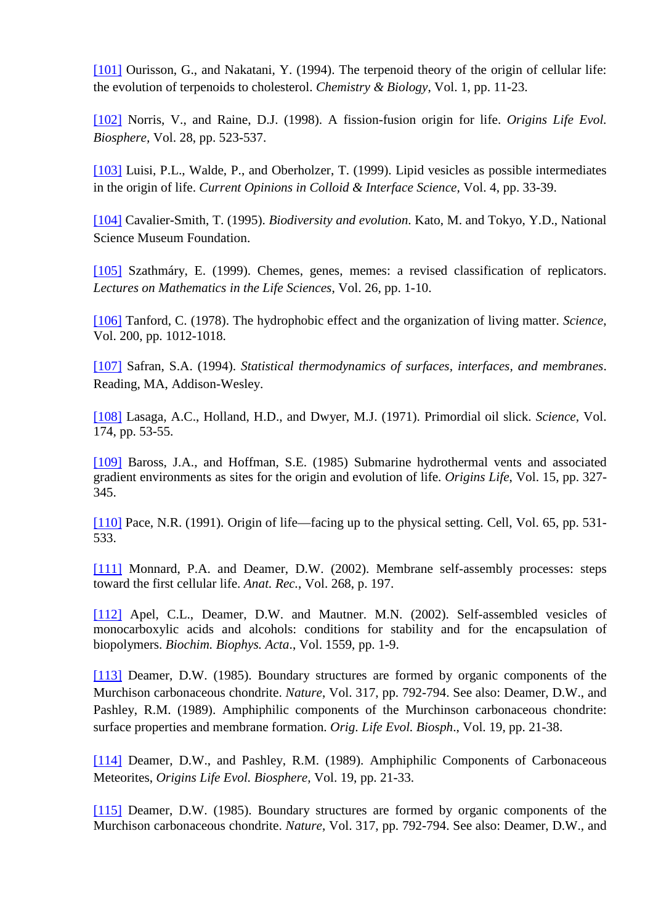[\[101\]](http://scienceandscientist.org/biology/) Ourisson, G., and Nakatani, Y. (1994). The terpenoid theory of the origin of cellular life: the evolution of terpenoids to cholesterol. *Chemistry & Biology*, Vol. 1, pp. 11-23.

[\[102\]](http://scienceandscientist.org/biology/) Norris, V., and Raine, D.J. (1998). A fission-fusion origin for life. *Origins Life Evol. Biosphere,* Vol. 28, pp. 523-537.

[\[103\]](http://scienceandscientist.org/biology/) Luisi, P.L., Walde, P., and Oberholzer, T. (1999). Lipid vesicles as possible intermediates in the origin of life. *Current Opinions in Colloid & Interface Science,* Vol. 4, pp. 33-39.

[\[104\]](http://scienceandscientist.org/biology/) Cavalier-Smith, T. (1995). *Biodiversity and evolution*. Kato, M. and Tokyo, Y.D., National Science Museum Foundation.

[\[105\]](http://scienceandscientist.org/biology/) Szathmáry, E. (1999). Chemes, genes, memes: a revised classification of replicators. *Lectures on Mathematics in the Life Sciences*, Vol. 26, pp. 1-10.

[\[106\]](http://scienceandscientist.org/biology/) Tanford, C. (1978). The hydrophobic effect and the organization of living matter. *Science*, Vol. 200, pp. 1012-1018.

[\[107\]](http://scienceandscientist.org/biology/) Safran, S.A. (1994). *Statistical thermodynamics of surfaces, interfaces, and membranes*. Reading, MA, Addison-Wesley.

[\[108\]](http://scienceandscientist.org/biology/) Lasaga, A.C., Holland, H.D., and Dwyer, M.J. (1971). Primordial oil slick. *Science,* Vol. 174, pp. 53-55.

[\[109\]](http://scienceandscientist.org/biology/) Baross, J.A., and Hoffman, S.E. (1985) Submarine hydrothermal vents and associated gradient environments as sites for the origin and evolution of life. *Origins Life*, Vol. 15, pp. 327- 345.

[\[110\]](http://scienceandscientist.org/biology/) Pace, N.R. (1991). Origin of life—facing up to the physical setting. Cell, Vol. 65, pp. 531- 533.

[\[111\]](http://scienceandscientist.org/biology/) Monnard, P.A. and Deamer, D.W. (2002). Membrane self-assembly processes: steps toward the first cellular life. *Anat. Rec.*, Vol. 268, p. 197.

[\[112\]](http://scienceandscientist.org/biology/) Apel, C.L., Deamer, D.W. and Mautner. M.N. (2002). Self-assembled vesicles of monocarboxylic acids and alcohols: conditions for stability and for the encapsulation of biopolymers. *Biochim. Biophys. Acta*., Vol. 1559, pp. 1-9.

[\[113\]](http://scienceandscientist.org/biology/) Deamer, D.W. (1985). Boundary structures are formed by organic components of the Murchison carbonaceous chondrite. *Nature*, Vol. 317, pp. 792-794. See also: Deamer, D.W., and Pashley, R.M. (1989). Amphiphilic components of the Murchinson carbonaceous chondrite: surface properties and membrane formation. *Orig. Life Evol. Biosph*., Vol. 19, pp. 21-38.

[\[114\]](http://scienceandscientist.org/biology/) Deamer, D.W., and Pashley, R.M. (1989). Amphiphilic Components of Carbonaceous Meteorites, *Origins Life Evol. Biosphere,* Vol. 19, pp. 21-33.

[\[115\]](http://scienceandscientist.org/biology/) Deamer, D.W. (1985). Boundary structures are formed by organic components of the Murchison carbonaceous chondrite. *Nature*, Vol. 317, pp. 792-794. See also: Deamer, D.W., and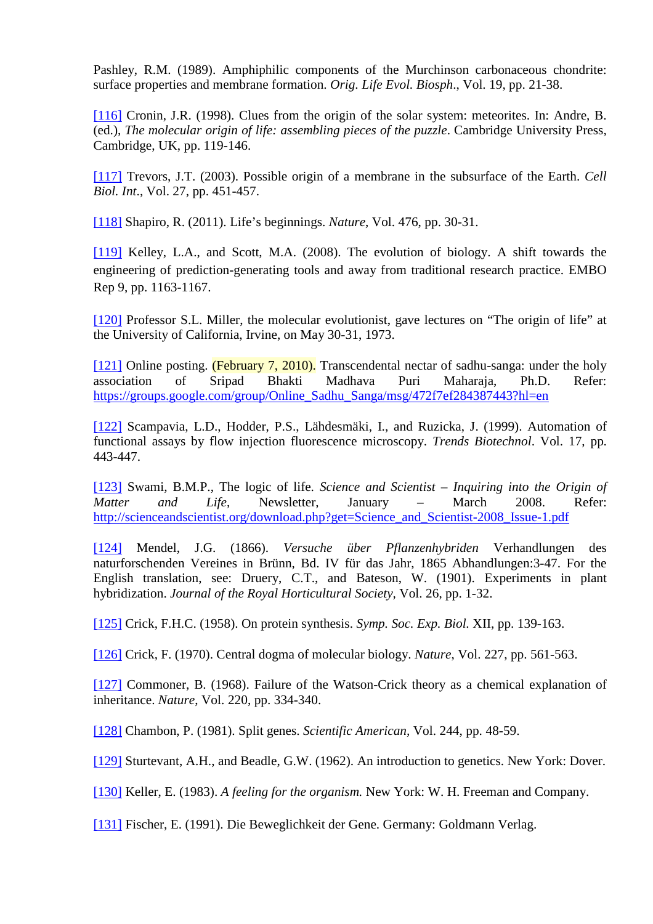Pashley, R.M. (1989). Amphiphilic components of the Murchinson carbonaceous chondrite: surface properties and membrane formation. *Orig. Life Evol. Biosph*., Vol. 19, pp. 21-38.

[\[116\]](http://scienceandscientist.org/biology/) Cronin, J.R. (1998). Clues from the origin of the solar system: meteorites. In: Andre, B. (ed.), *The molecular origin of life: assembling pieces of the puzzle*. Cambridge University Press, Cambridge, UK, pp. 119-146.

[\[117\]](http://scienceandscientist.org/biology/) Trevors, J.T. (2003). Possible origin of a membrane in the subsurface of the Earth. *Cell Biol. Int*., Vol. 27, pp. 451-457.

[\[118\]](http://scienceandscientist.org/biology/) Shapiro, R. (2011). Life's beginnings. *Nature*, Vol. 476, pp. 30-31.

[\[119\]](http://scienceandscientist.org/biology/) Kelley, L.A., and Scott, M.A. (2008). The evolution of biology. A shift towards the engineering of prediction-generating tools and away from traditional research practice. EMBO Rep 9, pp. 1163-1167.

[\[120\]](http://scienceandscientist.org/biology/) Professor S.L. Miller, the molecular evolutionist, gave lectures on "The origin of life" at the University of California, Irvine, on May 30-31, 1973.

[\[121\]](http://scienceandscientist.org/biology/) Online posting. (February 7, 2010). Transcendental nectar of sadhu-sanga: under the holy association of Sripad Bhakti Madhava Puri Maharaja, Ph.D. Refer: https://groups.google.com/group/Online\_Sadhu\_Sanga/msg/472f7ef284387443?hl=en

[\[122\]](http://scienceandscientist.org/biology/) Scampavia, L.D., Hodder, P.S., Lähdesmäki, I., and Ruzicka, J. (1999). Automation of functional assays by flow injection fluorescence microscopy. *Trends Biotechnol*. Vol. 17, pp. 443-447.

[\[123\]](http://scienceandscientist.org/biology/) Swami, B.M.P., The logic of life. *Science and Scientist – Inquiring into the Origin of Matter and Life*, Newsletter, January – March 2008. Refer: [http://scienceandscientist.org/download.php?get=Science\\_and\\_Scientist-2008\\_Issue-1.pdf](http://scienceandscientist.org/download.php?get=Science_and_Scientist-2008_Issue-1.pdf) 

[\[124\]](http://scienceandscientist.org/biology/) Mendel, J.G. (1866). *Versuche über Pflanzenhybriden* Verhandlungen des naturforschenden Vereines in Brünn, Bd. IV für das Jahr, 1865 Abhandlungen:3-47. For the English translation, see: Druery, C.T., and Bateson, W. (1901). Experiments in plant hybridization. *Journal of the Royal Horticultural Society,* Vol. 26, pp. 1-32.

[\[125\]](http://scienceandscientist.org/biology/) Crick, F.H.C. (1958). On protein synthesis. *Symp. Soc. Exp. Biol.* XII, pp. 139-163.

[\[126\]](http://scienceandscientist.org/biology/) Crick, F. (1970). Central dogma of molecular biology. *Nature*, Vol. 227, pp. 561-563.

[\[127\]](http://scienceandscientist.org/biology/) Commoner, B. (1968). Failure of the Watson-Crick theory as a chemical explanation of inheritance. *Nature*, Vol. 220, pp. 334-340.

[\[128\]](http://scienceandscientist.org/biology/) Chambon, P. (1981). Split genes. *Scientific American,* Vol. 244, pp. 48-59.

[\[129\]](http://scienceandscientist.org/biology/) Sturtevant, A.H., and Beadle, G.W. (1962). An introduction to genetics. New York: Dover.

[\[130\]](http://scienceandscientist.org/biology/) Keller, E. (1983). *A feeling for the organism.* New York: W. H. Freeman and Company.

[\[131\]](http://scienceandscientist.org/biology/) Fischer, E. (1991). Die Beweglichkeit der Gene. Germany: Goldmann Verlag.